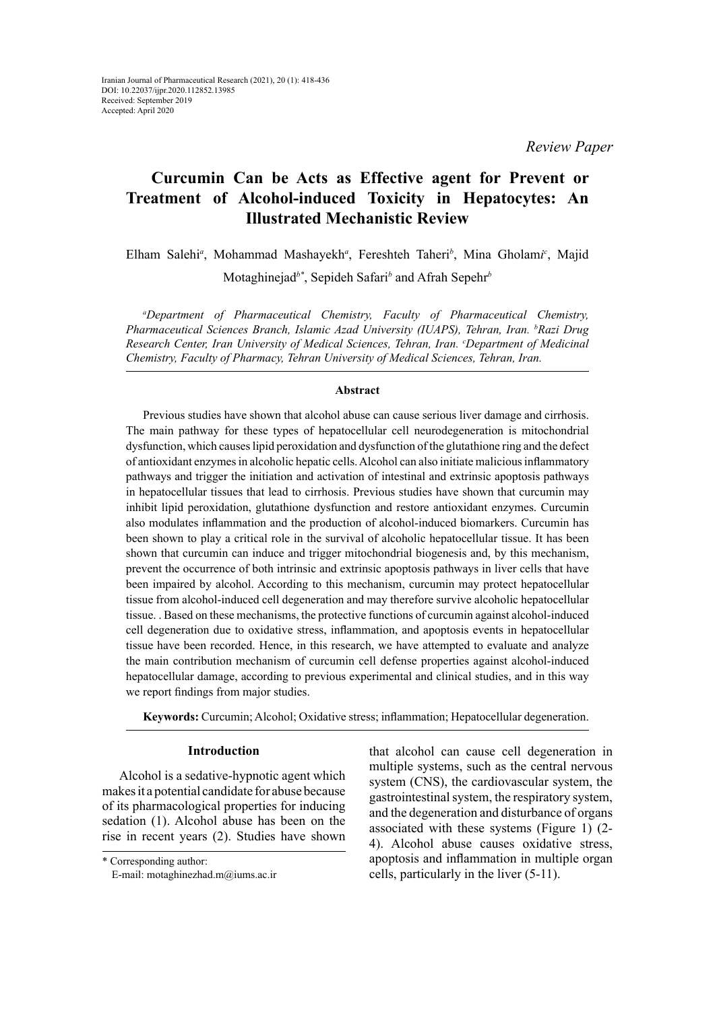*Review Paper*

# **Curcumin Can be Acts as Effective agent for Prevent or Treatment of Alcohol-induced Toxicity in Hepatocytes: An Illustrated Mechanistic Review**

Elham Salehi*<sup>a</sup>* , Mohammad Mashayekh*<sup>a</sup>* , Fereshteh Taheri*<sup>b</sup>* , Mina Gholam*i c* , Majid Motaghinejad*b\**, Sepideh Safari*<sup>b</sup>* and Afrah Sepehr*<sup>b</sup>*

*a Department of Pharmaceutical Chemistry, Faculty of Pharmaceutical Chemistry, Pharmaceutical Sciences Branch, Islamic Azad University (IUAPS), Tehran, Iran. b Razi Drug Research Center, Iran University of Medical Sciences, Tehran, Iran. c Department of Medicinal Chemistry, Faculty of Pharmacy, Tehran University of Medical Sciences, Tehran, Iran.*

### **Abstract**

Previous studies have shown that alcohol abuse can cause serious liver damage and cirrhosis. The main pathway for these types of hepatocellular cell neurodegeneration is mitochondrial dysfunction, which causes lipid peroxidation and dysfunction of the glutathione ring and the defect of antioxidant enzymes in alcoholic hepatic cells. Alcohol can also initiate malicious inflammatory pathways and trigger the initiation and activation of intestinal and extrinsic apoptosis pathways in hepatocellular tissues that lead to cirrhosis. Previous studies have shown that curcumin may inhibit lipid peroxidation, glutathione dysfunction and restore antioxidant enzymes. Curcumin also modulates inflammation and the production of alcohol-induced biomarkers. Curcumin has been shown to play a critical role in the survival of alcoholic hepatocellular tissue. It has been shown that curcumin can induce and trigger mitochondrial biogenesis and, by this mechanism, prevent the occurrence of both intrinsic and extrinsic apoptosis pathways in liver cells that have been impaired by alcohol. According to this mechanism, curcumin may protect hepatocellular tissue from alcohol-induced cell degeneration and may therefore survive alcoholic hepatocellular tissue. . Based on these mechanisms, the protective functions of curcumin against alcohol-induced cell degeneration due to oxidative stress, inflammation, and apoptosis events in hepatocellular tissue have been recorded. Hence, in this research, we have attempted to evaluate and analyze the main contribution mechanism of curcumin cell defense properties against alcohol-induced hepatocellular damage, according to previous experimental and clinical studies, and in this way we report findings from major studies.

**Keywords:** Curcumin; Alcohol; Oxidative stress; inflammation; Hepatocellular degeneration.

### **Introduction**

Alcohol is a sedative-hypnotic agent which makes it a potential candidate for abuse because of its pharmacological properties for inducing sedation (1). Alcohol abuse has been on the rise in recent years (2). Studies have shown that alcohol can cause cell degeneration in multiple systems, such as the central nervous system (CNS), the cardiovascular system, the gastrointestinal system, the respiratory system, and the degeneration and disturbance of organs associated with these systems (Figure 1) (2- 4). Alcohol abuse causes oxidative stress, apoptosis and inflammation in multiple organ cells, particularly in the liver (5-11).

<sup>\*</sup> Corresponding author: E-mail: motaghinezhad.m@iums.ac.ir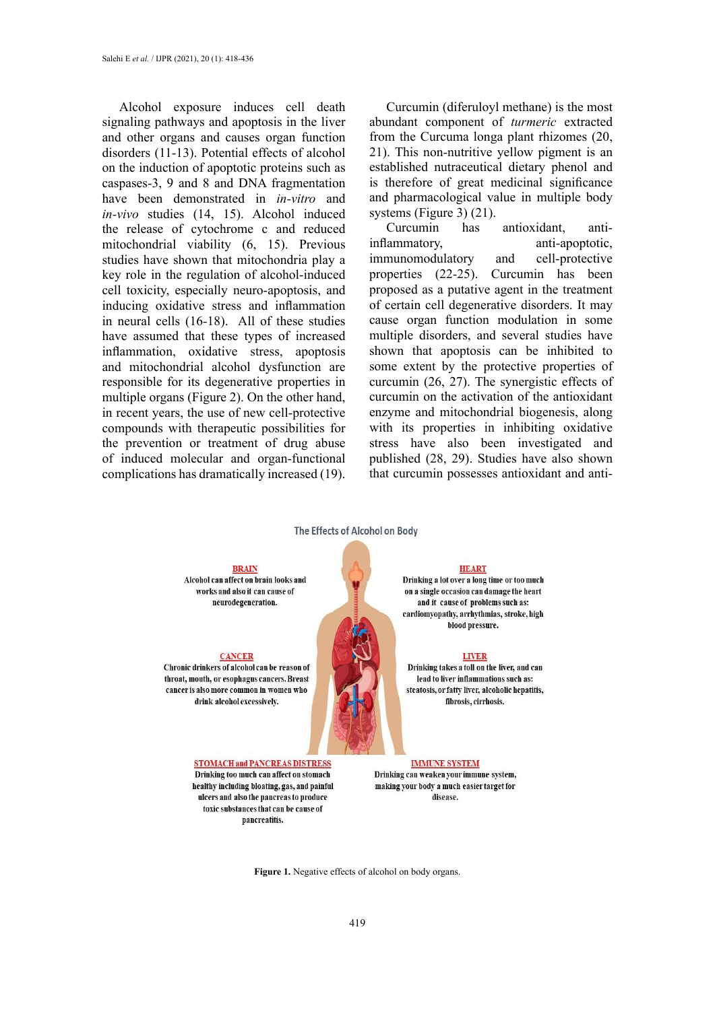Alcohol exposure induces cell death signaling pathways and apoptosis in the liver and other organs and causes organ function disorders (11-13). Potential effects of alcohol on the induction of apoptotic proteins such as caspases-3, 9 and 8 and DNA fragmentation have been demonstrated in *in-vitro* and *in-vivo* studies (14, 15). Alcohol induced the release of cytochrome c and reduced mitochondrial viability (6, 15). Previous studies have shown that mitochondria play a key role in the regulation of alcohol-induced cell toxicity, especially neuro-apoptosis, and inducing oxidative stress and inflammation in neural cells (16-18). All of these studies have assumed that these types of increased inflammation, oxidative stress, apoptosis and mitochondrial alcohol dysfunction are responsible for its degenerative properties in multiple organs (Figure 2). On the other hand, in recent years, the use of new cell-protective compounds with therapeutic possibilities for the prevention or treatment of drug abuse of induced molecular and organ-functional complications has dramatically increased (19).

Curcumin (diferuloyl methane) is the most abundant component of *turmeric* extracted from the Curcuma longa plant rhizomes (20, 21). This non-nutritive yellow pigment is an established nutraceutical dietary phenol and is therefore of great medicinal significance and pharmacological value in multiple body systems (Figure 3) (21).

Curcumin has antioxidant, antiinflammatory, anti-apoptotic, immunomodulatory and cell-protective properties (22-25). Curcumin has been proposed as a putative agent in the treatment of certain cell degenerative disorders. It may cause organ function modulation in some multiple disorders, and several studies have shown that apoptosis can be inhibited to some extent by the protective properties of curcumin (26, 27). The synergistic effects of curcumin on the activation of the antioxidant enzyme and mitochondrial biogenesis, along with its properties in inhibiting oxidative stress have also been investigated and published (28, 29). Studies have also shown that curcumin possesses antioxidant and anti-



**BRAIN** Alcohol can affect on brain looks and works and also it can cause of neurodegeneration.

#### **CANCER**

Chronic drinkers of alcohol can be reason of throat, mouth, or esophagus cancers. Breast cancer is also more common in women who drink alcohol excessively.

> **STOMACH and PANCREAS DISTRESS** Drinking too much can affect on stomach healthy including bloating, gas, and painful ulcers and also the pancreas to produce toxic substances that can be cause of pancreatitis.

#### **HEART**

Drinking a lot over a long time or too much on a single occasion can damage the heart and it cause of problems such as: cardiomyopathy, arrhythmias, stroke, high blood pressure.

#### **LIVER**

Drinking takes a toll on the liver, and can lead to liver inflammations such as: steatosis, or fatty liver, alcoholic hepatitis, fibrosis, cirrhosis.

#### **IMMUNE SYSTEM**

Drinking can weaken your immune system. making your body a much easier target for disease.

Figure 1. Negative effects of alcohol on body organs.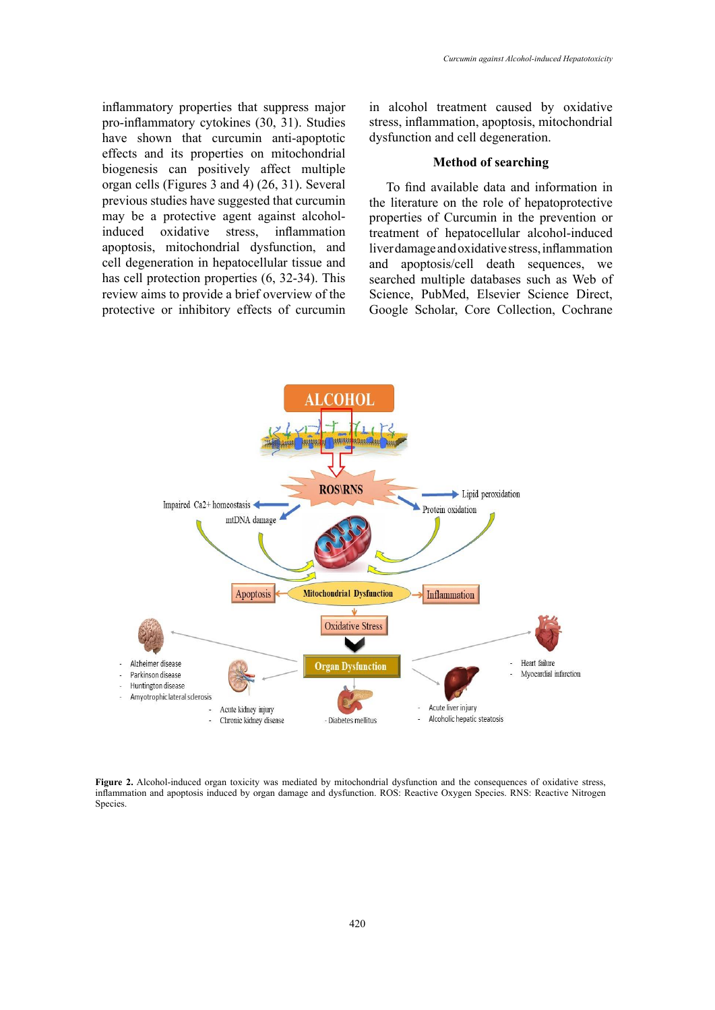inflammatory properties that suppress major pro-inflammatory cytokines (30, 31). Studies have shown that curcumin anti-apoptotic effects and its properties on mitochondrial biogenesis can positively affect multiple organ cells (Figures 3 and 4) (26, 31). Several previous studies have suggested that curcumin may be a protective agent against alcoholinduced oxidative stress, inflammation apoptosis, mitochondrial dysfunction, and cell degeneration in hepatocellular tissue and has cell protection properties (6, 32-34). This review aims to provide a brief overview of the protective or inhibitory effects of curcumin

in alcohol treatment caused by oxidative stress, inflammation, apoptosis, mitochondrial dysfunction and cell degeneration.

### **Method of searching**

To find available data and information in the literature on the role of hepatoprotective properties of Curcumin in the prevention or treatment of hepatocellular alcohol-induced liver damage and oxidative stress, inflammation and apoptosis/cell death sequences, we searched multiple databases such as Web of Science, PubMed, Elsevier Science Direct, Google Scholar, Core Collection, Cochrane



Figure 2. Alcohol-induced organ toxicity was mediated by mitochondrial dysfunction and the consequences of oxidative stress, inflammation and apoptosis induced by organ damage and dysfunction. ROS: Reactive Oxygen Species. RNS: Reactive Nitrogen Species.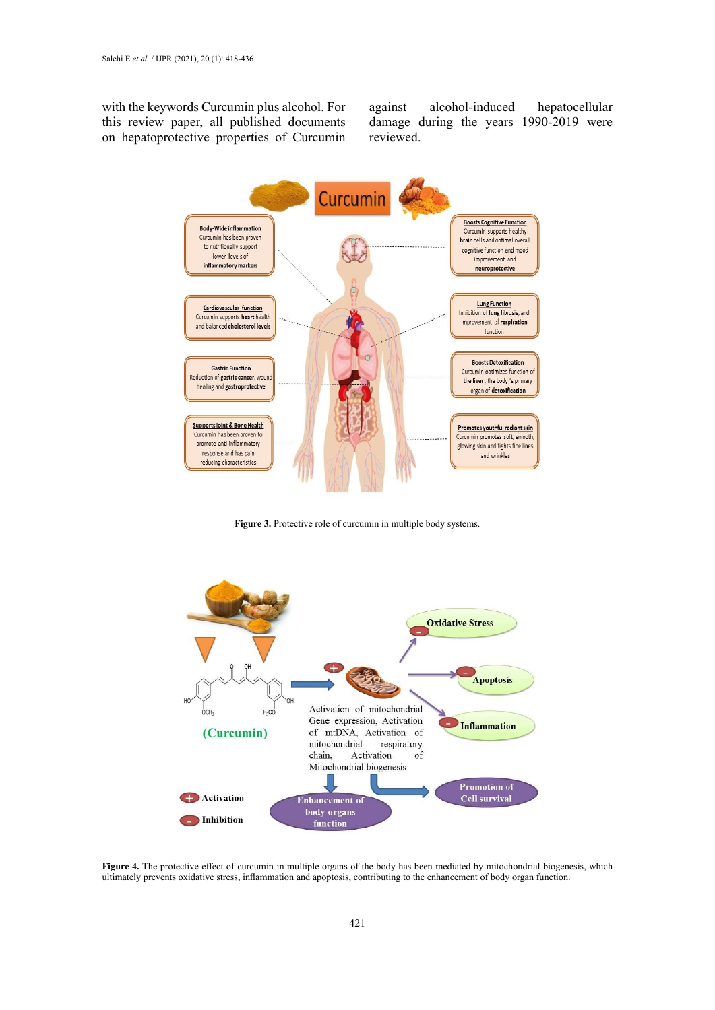with the keywords Curcumin plus alcohol. For this review paper, all published documents on hepatoprotective properties of Curcumin against alcohol-induced hepatocellular damage during the years 1990-2019 were reviewed.



**Figure 3.** Protective role of curcumin in multiple body systems. **Figure 3.** Protective role of curcumin in multiple body systems.



Figure 4. The protective effect of curcumin in multiple organs of the body has been mediated by mitochondrial biogenesis, which ultimately prevents oxidative stress, inflammation and apoptosis, contributing to the enhancement of body organ function.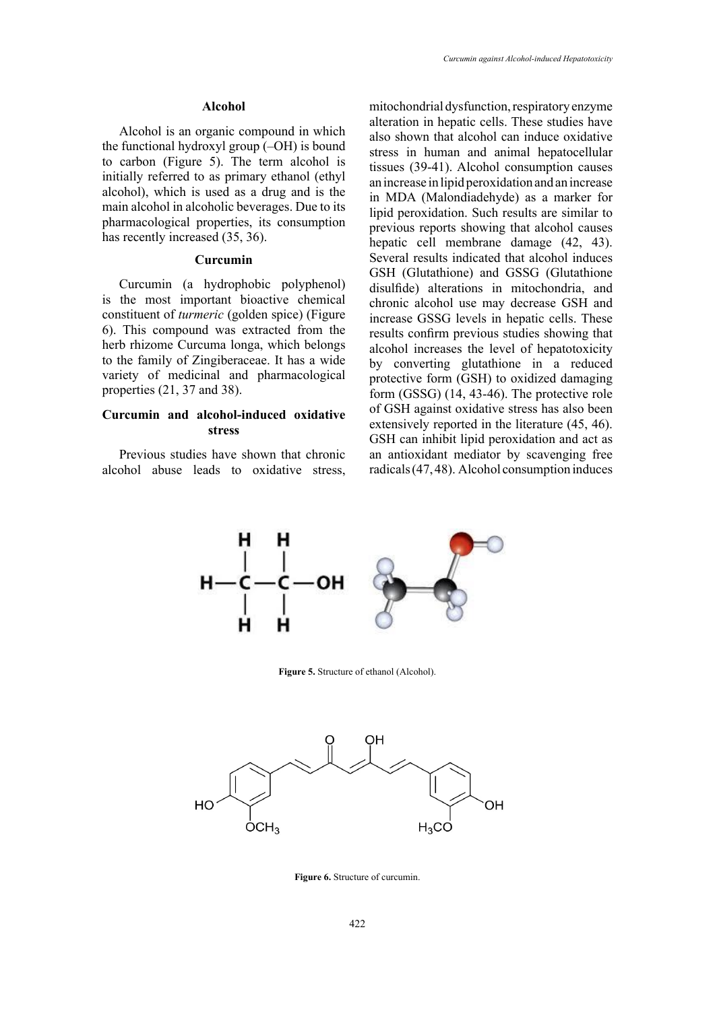### **Alcohol**

Alcohol is an organic compound in which the functional hydroxyl group (–OH) is bound to carbon (Figure 5). The term alcohol is initially referred to as primary ethanol (ethyl alcohol), which is used as a drug and is the main alcohol in alcoholic beverages. Due to its pharmacological properties, its consumption has recently increased (35, 36).

### **Curcumin**

Curcumin (a hydrophobic polyphenol) is the most important bioactive chemical constituent of *turmeric* (golden spice) (Figure 6). This compound was extracted from the herb rhizome Curcuma longa, which belongs to the family of Zingiberaceae. It has a wide variety of medicinal and pharmacological properties (21, 37 and 38).

# **Curcumin and alcohol-induced oxidative stress**

Previous studies have shown that chronic alcohol abuse leads to oxidative stress, mitochondrial dysfunction, respiratory enzyme alteration in hepatic cells. These studies have also shown that alcohol can induce oxidative stress in human and animal hepatocellular tissues (39-41). Alcohol consumption causes an increase in lipid peroxidation and an increase in MDA (Malondiadehyde) as a marker for lipid peroxidation. Such results are similar to previous reports showing that alcohol causes hepatic cell membrane damage (42, 43). Several results indicated that alcohol induces GSH (Glutathione) and GSSG (Glutathione disulfide) alterations in mitochondria, and chronic alcohol use may decrease GSH and increase GSSG levels in hepatic cells. These results confirm previous studies showing that alcohol increases the level of hepatotoxicity by converting glutathione in a reduced protective form (GSH) to oxidized damaging form (GSSG) (14, 43-46). The protective role of GSH against oxidative stress has also been extensively reported in the literature (45, 46). GSH can inhibit lipid peroxidation and act as an antioxidant mediator by scavenging free radicals (47, 48). Alcohol consumption induces



**Figure 5.** Structure of ethanol (Alcohol). **Figure 5.** Structure of ethanol (Alcohol).



**Figure 6.** Structure of curcumin.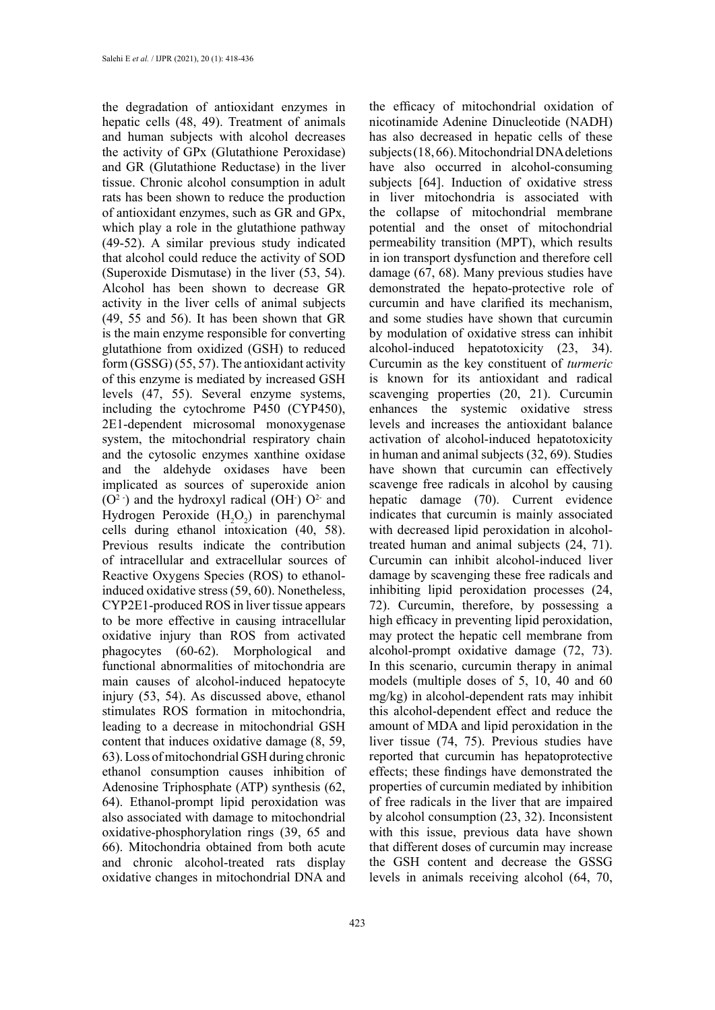the degradation of antioxidant enzymes in hepatic cells (48, 49). Treatment of animals and human subjects with alcohol decreases the activity of GPx (Glutathione Peroxidase) and GR (Glutathione Reductase) in the liver tissue. Chronic alcohol consumption in adult rats has been shown to reduce the production of antioxidant enzymes, such as GR and GPx, which play a role in the glutathione pathway (49-52). A similar previous study indicated that alcohol could reduce the activity of SOD (Superoxide Dismutase) in the liver (53, 54). Alcohol has been shown to decrease GR activity in the liver cells of animal subjects (49, 55 and 56). It has been shown that GR is the main enzyme responsible for converting glutathione from oxidized (GSH) to reduced form (GSSG) (55, 57). The antioxidant activity of this enzyme is mediated by increased GSH levels (47, 55). Several enzyme systems, including the cytochrome P450 (CYP450), 2E1-dependent microsomal monoxygenase system, the mitochondrial respiratory chain and the cytosolic enzymes xanthine oxidase and the aldehyde oxidases have been implicated as sources of superoxide anion  $(O<sup>2</sup>$ ) and the hydroxyl radical  $(OH<sup>2</sup>) O<sup>2</sup>$  and Hydrogen Peroxide  $(H_2O_2)$  in parenchymal cells during ethanol intoxication (40, 58). Previous results indicate the contribution of intracellular and extracellular sources of Reactive Oxygens Species (ROS) to ethanolinduced oxidative stress (59, 60). Nonetheless, CYP2E1-produced ROS in liver tissue appears to be more effective in causing intracellular oxidative injury than ROS from activated phagocytes (60-62). Morphological and functional abnormalities of mitochondria are main causes of alcohol-induced hepatocyte injury (53, 54). As discussed above, ethanol stimulates ROS formation in mitochondria, leading to a decrease in mitochondrial GSH content that induces oxidative damage (8, 59, 63). Loss of mitochondrial GSH during chronic ethanol consumption causes inhibition of Adenosine Triphosphate (ATP) synthesis (62, 64). Ethanol-prompt lipid peroxidation was also associated with damage to mitochondrial oxidative-phosphorylation rings (39, 65 and 66). Mitochondria obtained from both acute and chronic alcohol-treated rats display oxidative changes in mitochondrial DNA and

the efficacy of mitochondrial oxidation of nicotinamide Adenine Dinucleotide (NADH) has also decreased in hepatic cells of these subjects (18, 66). Mitochondrial DNA deletions have also occurred in alcohol-consuming subjects [64]. Induction of oxidative stress in liver mitochondria is associated with the collapse of mitochondrial membrane potential and the onset of mitochondrial permeability transition (MPT), which results in ion transport dysfunction and therefore cell damage (67, 68). Many previous studies have demonstrated the hepato-protective role of curcumin and have clarified its mechanism, and some studies have shown that curcumin by modulation of oxidative stress can inhibit alcohol-induced hepatotoxicity (23, 34). Curcumin as the key constituent of *turmeric* is known for its antioxidant and radical scavenging properties (20, 21). Curcumin enhances the systemic oxidative stress levels and increases the antioxidant balance activation of alcohol-induced hepatotoxicity in human and animal subjects (32, 69). Studies have shown that curcumin can effectively scavenge free radicals in alcohol by causing hepatic damage (70). Current evidence indicates that curcumin is mainly associated with decreased lipid peroxidation in alcoholtreated human and animal subjects (24, 71). Curcumin can inhibit alcohol-induced liver damage by scavenging these free radicals and inhibiting lipid peroxidation processes (24, 72). Curcumin, therefore, by possessing a high efficacy in preventing lipid peroxidation, may protect the hepatic cell membrane from alcohol-prompt oxidative damage (72, 73). In this scenario, curcumin therapy in animal models (multiple doses of 5, 10, 40 and 60 mg/kg) in alcohol-dependent rats may inhibit this alcohol-dependent effect and reduce the amount of MDA and lipid peroxidation in the liver tissue (74, 75). Previous studies have reported that curcumin has hepatoprotective effects; these findings have demonstrated the properties of curcumin mediated by inhibition of free radicals in the liver that are impaired by alcohol consumption (23, 32). Inconsistent with this issue, previous data have shown that different doses of curcumin may increase the GSH content and decrease the GSSG levels in animals receiving alcohol (64, 70,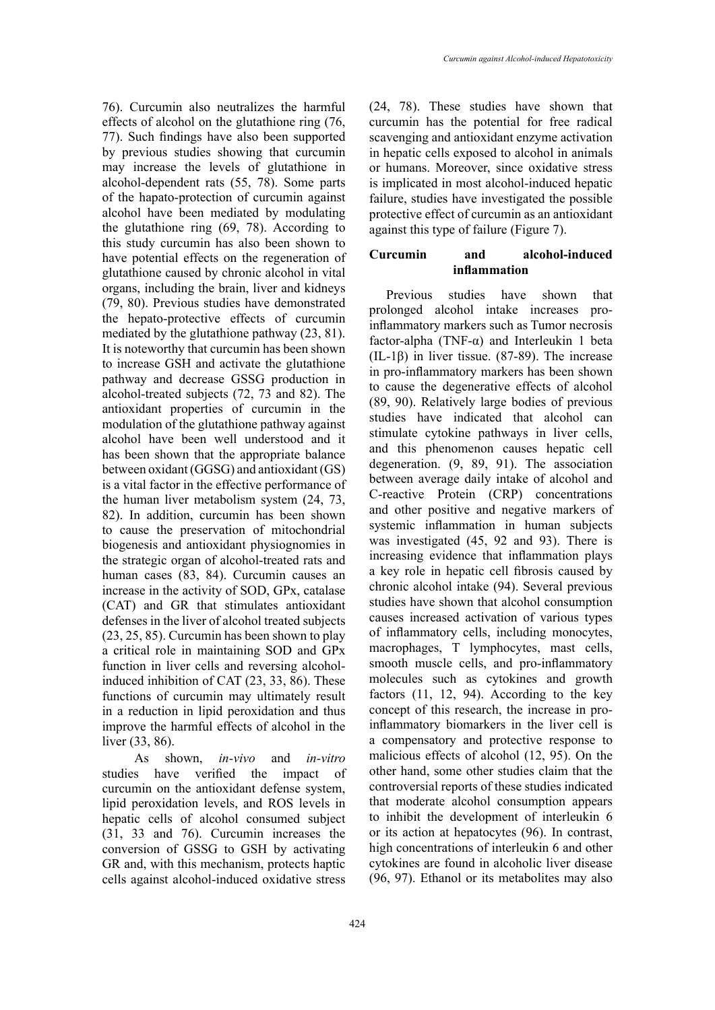76). Curcumin also neutralizes the harmful effects of alcohol on the glutathione ring (76, 77). Such findings have also been supported by previous studies showing that curcumin may increase the levels of glutathione in alcohol-dependent rats (55, 78). Some parts of the hapato-protection of curcumin against alcohol have been mediated by modulating the glutathione ring (69, 78). According to this study curcumin has also been shown to have potential effects on the regeneration of glutathione caused by chronic alcohol in vital organs, including the brain, liver and kidneys (79, 80). Previous studies have demonstrated the hepato-protective effects of curcumin mediated by the glutathione pathway (23, 81). It is noteworthy that curcumin has been shown to increase GSH and activate the glutathione pathway and decrease GSSG production in alcohol-treated subjects (72, 73 and 82). The antioxidant properties of curcumin in the modulation of the glutathione pathway against alcohol have been well understood and it has been shown that the appropriate balance between oxidant (GGSG) and antioxidant (GS) is a vital factor in the effective performance of the human liver metabolism system (24, 73, 82). In addition, curcumin has been shown to cause the preservation of mitochondrial biogenesis and antioxidant physiognomies in the strategic organ of alcohol-treated rats and human cases (83, 84). Curcumin causes an increase in the activity of SOD, GPx, catalase (CAT) and GR that stimulates antioxidant defenses in the liver of alcohol treated subjects (23, 25, 85). Curcumin has been shown to play a critical role in maintaining SOD and GPx function in liver cells and reversing alcoholinduced inhibition of CAT (23, 33, 86). These functions of curcumin may ultimately result in a reduction in lipid peroxidation and thus improve the harmful effects of alcohol in the liver (33, 86).

 As shown, *in-vivo* and *in-vitro*  studies have verified the impact of curcumin on the antioxidant defense system, lipid peroxidation levels, and ROS levels in hepatic cells of alcohol consumed subject (31, 33 and 76). Curcumin increases the conversion of GSSG to GSH by activating GR and, with this mechanism, protects haptic cells against alcohol-induced oxidative stress

(24, 78). These studies have shown that curcumin has the potential for free radical scavenging and antioxidant enzyme activation in hepatic cells exposed to alcohol in animals or humans. Moreover, since oxidative stress is implicated in most alcohol-induced hepatic failure, studies have investigated the possible protective effect of curcumin as an antioxidant against this type of failure (Figure 7).

# **Curcumin and alcohol-induced inflammation**

Previous studies have shown that prolonged alcohol intake increases proinflammatory markers such as Tumor necrosis factor-alpha (TNF-α) and Interleukin 1 beta (IL-1β) in liver tissue. (87-89). The increase in pro-inflammatory markers has been shown to cause the degenerative effects of alcohol (89, 90). Relatively large bodies of previous studies have indicated that alcohol can stimulate cytokine pathways in liver cells, and this phenomenon causes hepatic cell degeneration. (9, 89, 91). The association between average daily intake of alcohol and C-reactive Protein (CRP) concentrations and other positive and negative markers of systemic inflammation in human subjects was investigated (45, 92 and 93). There is increasing evidence that inflammation plays a key role in hepatic cell fibrosis caused by chronic alcohol intake (94). Several previous studies have shown that alcohol consumption causes increased activation of various types of inflammatory cells, including monocytes, macrophages, T lymphocytes, mast cells, smooth muscle cells, and pro-inflammatory molecules such as cytokines and growth factors (11, 12, 94). According to the key concept of this research, the increase in proinflammatory biomarkers in the liver cell is a compensatory and protective response to malicious effects of alcohol (12, 95). On the other hand, some other studies claim that the controversial reports of these studies indicated that moderate alcohol consumption appears to inhibit the development of interleukin 6 or its action at hepatocytes (96). In contrast, high concentrations of interleukin 6 and other cytokines are found in alcoholic liver disease (96, 97). Ethanol or its metabolites may also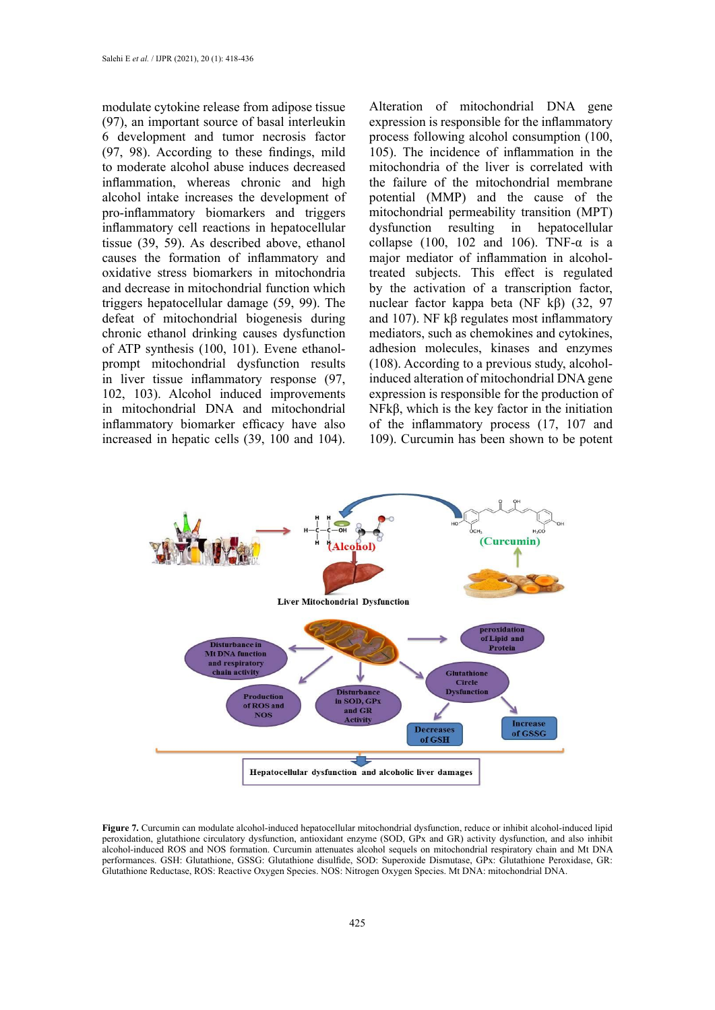modulate cytokine release from adipose tissue (97), an important source of basal interleukin 6 development and tumor necrosis factor (97, 98). According to these findings, mild to moderate alcohol abuse induces decreased inflammation, whereas chronic and high alcohol intake increases the development of pro-inflammatory biomarkers and triggers inflammatory cell reactions in hepatocellular tissue (39, 59). As described above, ethanol causes the formation of inflammatory and oxidative stress biomarkers in mitochondria and decrease in mitochondrial function which triggers hepatocellular damage (59, 99). The defeat of mitochondrial biogenesis during chronic ethanol drinking causes dysfunction of ATP synthesis (100, 101). Evene ethanolprompt mitochondrial dysfunction results in liver tissue inflammatory response (97, 102, 103). Alcohol induced improvements in mitochondrial DNA and mitochondrial inflammatory biomarker efficacy have also increased in hepatic cells (39, 100 and 104).

Alteration of mitochondrial DNA gene expression is responsible for the inflammatory process following alcohol consumption (100, 105). The incidence of inflammation in the mitochondria of the liver is correlated with the failure of the mitochondrial membrane potential (MMP) and the cause of the mitochondrial permeability transition (MPT) dysfunction resulting in hepatocellular collapse (100, 102 and 106). TNF- $\alpha$  is a major mediator of inflammation in alcoholtreated subjects. This effect is regulated by the activation of a transcription factor, nuclear factor kappa beta (NF kβ) (32, 97 and 107). NF kβ regulates most inflammatory mediators, such as chemokines and cytokines, adhesion molecules, kinases and enzymes (108). According to a previous study, alcoholinduced alteration of mitochondrial DNA gene expression is responsible for the production of NFkβ, which is the key factor in the initiation of the inflammatory process (17, 107 and 109). Curcumin has been shown to be potent



Figure 7. Curcumin can modulate alcohol-induced hepatocellular mitochondrial dysfunction, reduce or inhibit alcohol-induced lipid peroxidation, glutathione circulatory dysfunction, antioxidant enzyme (SOD, GPx and GR) activity dysfunction, and also inhibit performances. GSH: Glutathione, GSSG: Glutathione disulfide, SOD: Superoxide Dismutase, GPx: Glutathione Peroxidase, GR: Glutathione Reductase, ROS: Reactive Oxygen Species. NOS: Nitrogen Oxygen Species. Mt DNA: mitochondrial DNA. alcohol-induced ROS and NOS formation. Curcumin attenuates alcohol sequels on mitochondrial respiratory chain and Mt DNA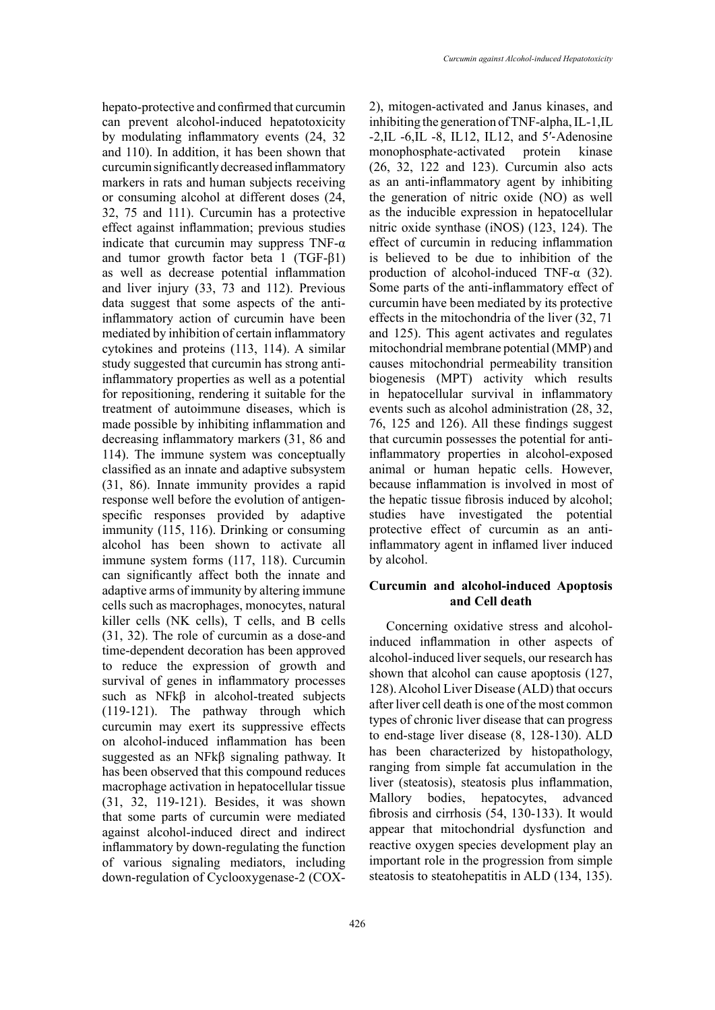hepato-protective and confirmed that curcumin can prevent alcohol-induced hepatotoxicity by modulating inflammatory events (24, 32 and 110). In addition, it has been shown that curcumin significantly decreased inflammatory markers in rats and human subjects receiving or consuming alcohol at different doses (24, 32, 75 and 111). Curcumin has a protective effect against inflammation; previous studies indicate that curcumin may suppress  $TNF-\alpha$ and tumor growth factor beta 1 (TGF-β1) as well as decrease potential inflammation and liver injury (33, 73 and 112). Previous data suggest that some aspects of the antiinflammatory action of curcumin have been mediated by inhibition of certain inflammatory cytokines and proteins (113, 114). A similar study suggested that curcumin has strong antiinflammatory properties as well as a potential for repositioning, rendering it suitable for the treatment of autoimmune diseases, which is made possible by inhibiting inflammation and decreasing inflammatory markers (31, 86 and 114). The immune system was conceptually classified as an innate and adaptive subsystem (31, 86). Innate immunity provides a rapid response well before the evolution of antigenspecific responses provided by adaptive immunity (115, 116). Drinking or consuming alcohol has been shown to activate all immune system forms (117, 118). Curcumin can significantly affect both the innate and adaptive arms of immunity by altering immune cells such as macrophages, monocytes, natural killer cells (NK cells), T cells, and B cells (31, 32). The role of curcumin as a dose-and time-dependent decoration has been approved to reduce the expression of growth and survival of genes in inflammatory processes such as NFkβ in alcohol-treated subjects (119-121). The pathway through which curcumin may exert its suppressive effects on alcohol-induced inflammation has been suggested as an NFkβ signaling pathway. It has been observed that this compound reduces macrophage activation in hepatocellular tissue (31, 32, 119-121). Besides, it was shown that some parts of curcumin were mediated against alcohol-induced direct and indirect inflammatory by down-regulating the function of various signaling mediators, including down-regulation of Cyclooxygenase-2 (COX-

2), mitogen-activated and Janus kinases, and inhibiting the generation of TNF-alpha, IL-1,IL -2,IL -6,IL -8, IL12, IL12, and 5′-Adenosine<br>monophosphate-activated protein kinase monophosphate-activated protein (26, 32, 122 and 123). Curcumin also acts as an anti-inflammatory agent by inhibiting the generation of nitric oxide (NO) as well as the inducible expression in hepatocellular nitric oxide synthase (iNOS) (123, 124). The effect of curcumin in reducing inflammation is believed to be due to inhibition of the production of alcohol-induced TNF- $\alpha$  (32). Some parts of the anti-inflammatory effect of curcumin have been mediated by its protective effects in the mitochondria of the liver (32, 71 and 125). This agent activates and regulates mitochondrial membrane potential (MMP) and causes mitochondrial permeability transition biogenesis (MPT) activity which results in hepatocellular survival in inflammatory events such as alcohol administration (28, 32, 76, 125 and 126). All these findings suggest that curcumin possesses the potential for antiinflammatory properties in alcohol-exposed animal or human hepatic cells. However, because inflammation is involved in most of the hepatic tissue fibrosis induced by alcohol; studies have investigated the potential protective effect of curcumin as an antiinflammatory agent in inflamed liver induced by alcohol.

# **Curcumin and alcohol-induced Apoptosis and Cell death**

Concerning oxidative stress and alcoholinduced inflammation in other aspects of alcohol-induced liver sequels, our research has shown that alcohol can cause apoptosis (127, 128). Alcohol Liver Disease (ALD) that occurs after liver cell death is one of the most common types of chronic liver disease that can progress to end-stage liver disease (8, 128-130). ALD has been characterized by histopathology, ranging from simple fat accumulation in the liver (steatosis), steatosis plus inflammation, Mallory bodies, hepatocytes, advanced fibrosis and cirrhosis (54, 130-133). It would appear that mitochondrial dysfunction and reactive oxygen species development play an important role in the progression from simple steatosis to steatohepatitis in ALD (134, 135).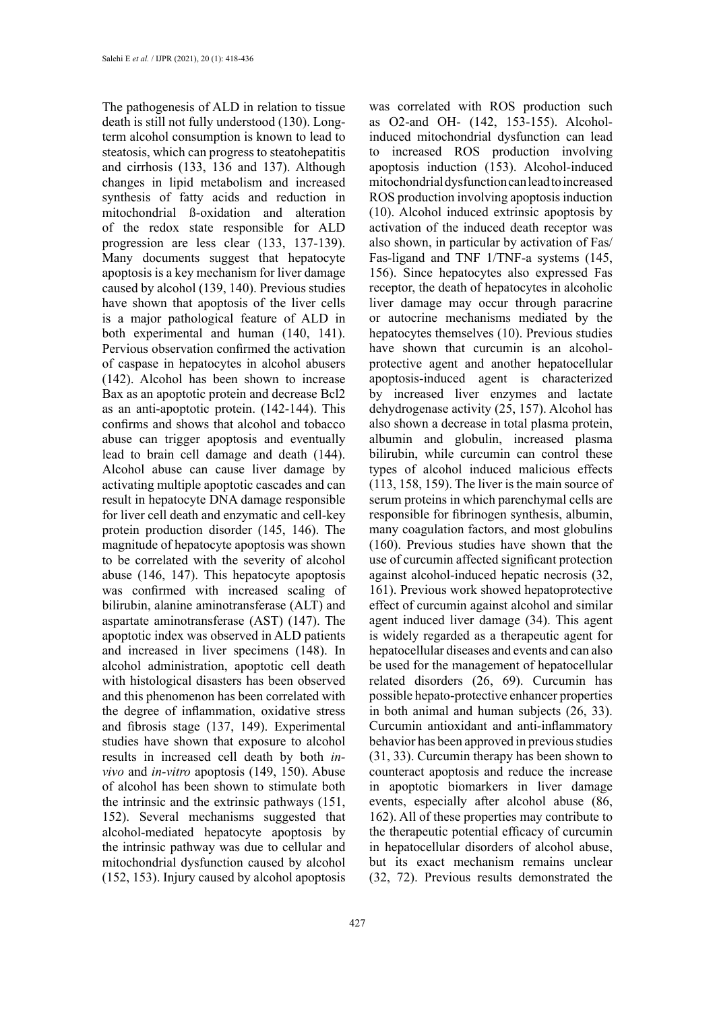The pathogenesis of ALD in relation to tissue death is still not fully understood (130). Longterm alcohol consumption is known to lead to steatosis, which can progress to steatohepatitis and cirrhosis (133, 136 and 137). Although changes in lipid metabolism and increased synthesis of fatty acids and reduction in mitochondrial ß-oxidation and alteration of the redox state responsible for ALD progression are less clear (133, 137-139). Many documents suggest that hepatocyte apoptosis is a key mechanism for liver damage caused by alcohol (139, 140). Previous studies have shown that apoptosis of the liver cells is a major pathological feature of ALD in both experimental and human (140, 141). Pervious observation confirmed the activation of caspase in hepatocytes in alcohol abusers (142). Alcohol has been shown to increase Bax as an apoptotic protein and decrease Bcl2 as an anti-apoptotic protein. (142-144). This confirms and shows that alcohol and tobacco abuse can trigger apoptosis and eventually lead to brain cell damage and death (144). Alcohol abuse can cause liver damage by activating multiple apoptotic cascades and can result in hepatocyte DNA damage responsible for liver cell death and enzymatic and cell-key protein production disorder (145, 146). The magnitude of hepatocyte apoptosis was shown to be correlated with the severity of alcohol abuse (146, 147). This hepatocyte apoptosis was confirmed with increased scaling of bilirubin, alanine aminotransferase (ALT) and aspartate aminotransferase (AST) (147). The apoptotic index was observed in ALD patients and increased in liver specimens (148). In alcohol administration, apoptotic cell death with histological disasters has been observed and this phenomenon has been correlated with the degree of inflammation, oxidative stress and fibrosis stage (137, 149). Experimental studies have shown that exposure to alcohol results in increased cell death by both *invivo* and *in-vitro* apoptosis (149, 150). Abuse of alcohol has been shown to stimulate both the intrinsic and the extrinsic pathways (151, 152). Several mechanisms suggested that alcohol-mediated hepatocyte apoptosis by the intrinsic pathway was due to cellular and mitochondrial dysfunction caused by alcohol (152, 153). Injury caused by alcohol apoptosis

427

was correlated with ROS production such as O2-and OH- (142, 153-155). Alcoholinduced mitochondrial dysfunction can lead to increased ROS production involving apoptosis induction (153). Alcohol-induced mitochondrial dysfunction can lead to increased ROS production involving apoptosis induction (10). Alcohol induced extrinsic apoptosis by activation of the induced death receptor was also shown, in particular by activation of Fas/ Fas-ligand and TNF 1/TNF-a systems (145, 156). Since hepatocytes also expressed Fas receptor, the death of hepatocytes in alcoholic liver damage may occur through paracrine or autocrine mechanisms mediated by the hepatocytes themselves (10). Previous studies have shown that curcumin is an alcoholprotective agent and another hepatocellular apoptosis-induced agent is characterized by increased liver enzymes and lactate dehydrogenase activity (25, 157). Alcohol has also shown a decrease in total plasma protein, albumin and globulin, increased plasma bilirubin, while curcumin can control these types of alcohol induced malicious effects (113, 158, 159). The liver is the main source of serum proteins in which parenchymal cells are responsible for fibrinogen synthesis, albumin, many coagulation factors, and most globulins (160). Previous studies have shown that the use of curcumin affected significant protection against alcohol-induced hepatic necrosis (32, 161). Previous work showed hepatoprotective effect of curcumin against alcohol and similar agent induced liver damage (34). This agent is widely regarded as a therapeutic agent for hepatocellular diseases and events and can also be used for the management of hepatocellular related disorders (26, 69). Curcumin has possible hepato-protective enhancer properties in both animal and human subjects (26, 33). Curcumin antioxidant and anti-inflammatory behavior has been approved in previous studies (31, 33). Curcumin therapy has been shown to counteract apoptosis and reduce the increase in apoptotic biomarkers in liver damage events, especially after alcohol abuse (86, 162). All of these properties may contribute to the therapeutic potential efficacy of curcumin in hepatocellular disorders of alcohol abuse, but its exact mechanism remains unclear (32, 72). Previous results demonstrated the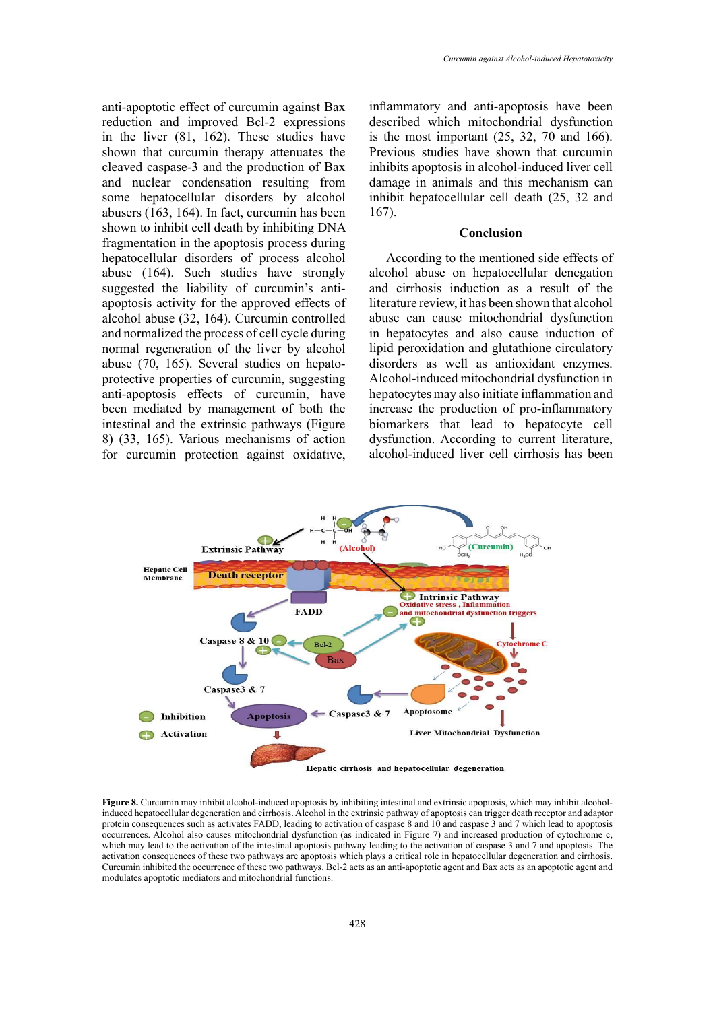anti-apoptotic effect of curcumin against Bax reduction and improved Bcl-2 expressions in the liver (81, 162). These studies have shown that curcumin therapy attenuates the cleaved caspase-3 and the production of Bax and nuclear condensation resulting from some hepatocellular disorders by alcohol abusers (163, 164). In fact, curcumin has been shown to inhibit cell death by inhibiting DNA fragmentation in the apoptosis process during hepatocellular disorders of process alcohol abuse (164). Such studies have strongly suggested the liability of curcumin's antiapoptosis activity for the approved effects of alcohol abuse (32, 164). Curcumin controlled and normalized the process of cell cycle during normal regeneration of the liver by alcohol abuse (70, 165). Several studies on hepatoprotective properties of curcumin, suggesting anti-apoptosis effects of curcumin, have been mediated by management of both the intestinal and the extrinsic pathways (Figure 8) (33, 165). Various mechanisms of action for curcumin protection against oxidative,

inflammatory and anti-apoptosis have been described which mitochondrial dysfunction is the most important  $(25, 32, 70, 166)$ . Previous studies have shown that curcumin inhibits apoptosis in alcohol-induced liver cell damage in animals and this mechanism can inhibit hepatocellular cell death (25, 32 and 167).

### **Conclusion**

According to the mentioned side effects of alcohol abuse on hepatocellular denegation and cirrhosis induction as a result of the literature review, it has been shown that alcohol abuse can cause mitochondrial dysfunction in hepatocytes and also cause induction of lipid peroxidation and glutathione circulatory disorders as well as antioxidant enzymes. Alcohol-induced mitochondrial dysfunction in hepatocytes may also initiate inflammation and increase the production of pro-inflammatory biomarkers that lead to hepatocyte cell dysfunction. According to current literature, alcohol-induced liver cell cirrhosis has been



induced hepatocellular degeneration and cirrhosis. Alcohol in the extrinsic pathway of apoptosis can trigger death receptor and adaptor protein consequences such as activates FADD, leading to activation of caspase 8 and 10 and caspase 3 and 7 which lead to apoptosis which may lead to the activation of the intestinal apoptosis pathway leading to the activation of caspase 3 and 7 and apoptosis. The activation consequences of these two pathways are apoptosis which plays a critical role in hepatocellular degeneration and cirrhosis. modulates apoptotic mediators and mitochondrial functions. **Figure 8.** Curcumin may inhibit alcohol-induced apoptosis by inhibiting intestinal and extrinsic apoptosis, which may inhibit alcoholoccurrences. Alcohol also causes mitochondrial dysfunction (as indicated in Figure 7) and increased production of cytochrome c, Curcumin inhibited the occurrence of these two pathways. Bcl-2 acts as an anti-apoptotic agent and Bax acts as an apoptotic agent and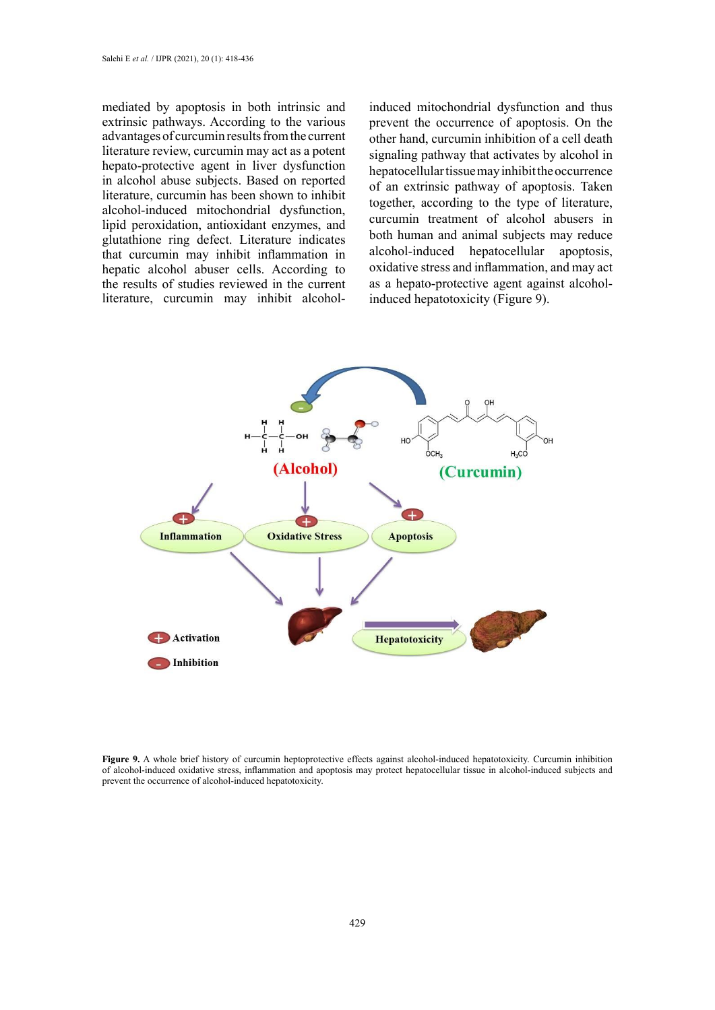mediated by apoptosis in both intrinsic and extrinsic pathways. According to the various advantages of curcumin results from the current literature review, curcumin may act as a potent hepato-protective agent in liver dysfunction in alcohol abuse subjects. Based on reported literature, curcumin has been shown to inhibit alcohol-induced mitochondrial dysfunction, lipid peroxidation, antioxidant enzymes, and glutathione ring defect. Literature indicates that curcumin may inhibit inflammation in hepatic alcohol abuser cells. According to the results of studies reviewed in the current literature, curcumin may inhibit alcoholinduced mitochondrial dysfunction and thus prevent the occurrence of apoptosis. On the other hand, curcumin inhibition of a cell death signaling pathway that activates by alcohol in hepatocellular tissue may inhibit the occurrence of an extrinsic pathway of apoptosis. Taken together, according to the type of literature, curcumin treatment of alcohol abusers in both human and animal subjects may reduce alcohol-induced hepatocellular apoptosis, oxidative stress and inflammation, and may act as a hepato-protective agent against alcoholinduced hepatotoxicity (Figure 9).



**Figure 9.** A whole brief history of curcumin heptoprotective effects against alcohol-induced hepatotoxicity. Curcumin inhibition of alcohol-induced oxidative stress, inflammation and apoptosis may protect hepatocellular tissue in alcohol-induced subjects and prevent the occurrence of alcohol-induced hepatotoxicity.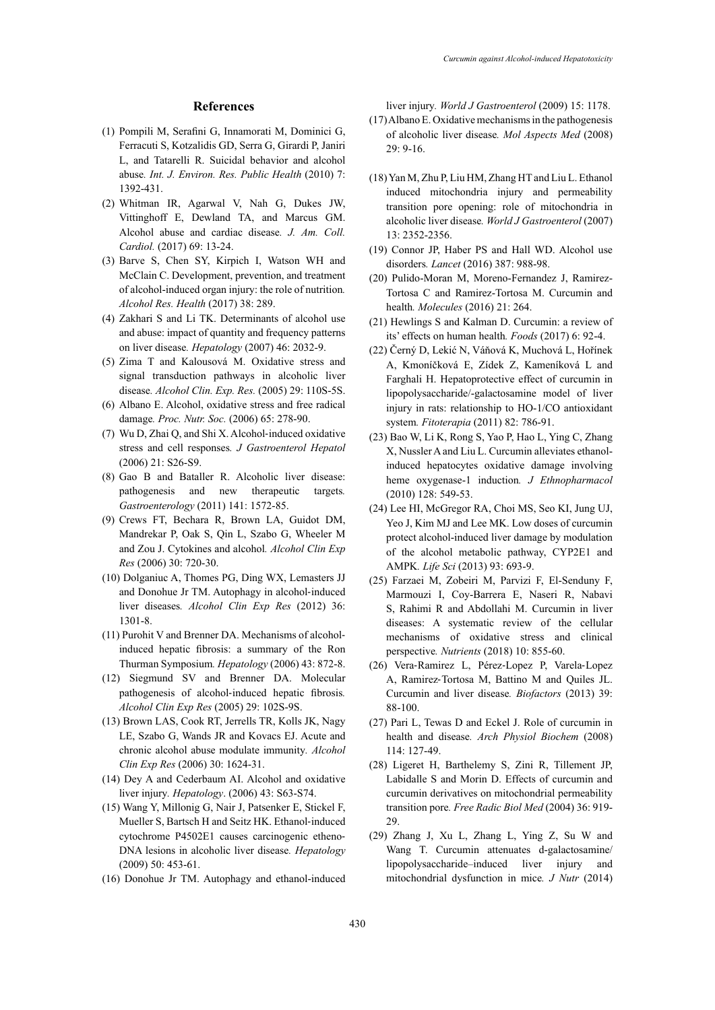### **References**

- (1) Pompili M, Serafini G, Innamorati M, Dominici G, Ferracuti S, Kotzalidis GD, Serra G, Girardi P, Janiri L, and Tatarelli R. Suicidal behavior and alcohol abuse*. Int. J. Environ. Res. Public Health* (2010) 7: 1392-431.
- (2) Whitman IR, Agarwal V, Nah G, Dukes JW, Vittinghoff E, Dewland TA, and Marcus GM. Alcohol abuse and cardiac disease*. [J. Am. Coll.](https://www.jacc.org/journal/jacc)  [Cardiol.](https://www.jacc.org/journal/jacc)* (2017) 69: 13-24.
- (3) Barve S, Chen SY, Kirpich I, Watson WH and McClain C. Development, prevention, and treatment of alcohol-induced organ injury: the role of nutrition*. Alcohol Res. Health* (2017) 38: 289.
- (4) Zakhari S and Li TK. Determinants of alcohol use and abuse: impact of quantity and frequency patterns on liver disease*. Hepatology* (2007) 46: 2032-9.
- (5) Zima T and Kalousová M. Oxidative stress and signal transduction pathways in alcoholic liver disease*. Alcohol Clin. Exp. Res.* (2005) 29: 110S-5S.
- (6) Albano E. Alcohol, oxidative stress and free radical damage*. Proc. Nutr. Soc.* (2006) 65: 278-90.
- (7) Wu D, Zhai Q, and Shi X. Alcohol‐induced oxidative stress and cell responses*. J Gastroenterol Hepatol* (2006) 21: S26-S9.
- (8) Gao B and Bataller R. Alcoholic liver disease: pathogenesis and new therapeutic targets*. Gastroenterology* (2011) 141: 1572-85.
- (9) Crews FT, Bechara R, Brown LA, Guidot DM, Mandrekar P, Oak S, Qin L, Szabo G, Wheeler M and Zou J. Cytokines and alcohol*. Alcohol Clin Exp Res* (2006) 30: 720-30.
- (10) Dolganiuc A, Thomes PG, Ding WX, Lemasters JJ and Donohue Jr TM. Autophagy in alcohol‐induced liver diseases*. Alcohol Clin Exp Res* (2012) 36: 1301-8.
- (11) Purohit V and Brenner DA. Mechanisms of alcohol‐ induced hepatic fibrosis: a summary of the Ron Thurman Symposium*. Hepatology* (2006) 43: 872-8.
- (12) Siegmund SV and Brenner DA. Molecular pathogenesis of alcohol‐induced hepatic fibrosis*. Alcohol Clin Exp Res* (2005) 29: 102S-9S.
- (13) Brown LAS, Cook RT, Jerrells TR, Kolls JK, Nagy LE, Szabo G, Wands JR and Kovacs EJ. Acute and chronic alcohol abuse modulate immunity*. Alcohol Clin Exp Res* (2006) 30: 1624-31.
- (14) Dey A and Cederbaum AI. Alcohol and oxidative liver injury*. Hepatology*. (2006) 43: S63-S74.
- (15) Wang Y, Millonig G, Nair J, Patsenker E, Stickel F, Mueller S, Bartsch H and Seitz HK. Ethanol‐induced cytochrome P4502E1 causes carcinogenic etheno-DNA lesions in alcoholic liver disease*. Hepatology* (2009) 50: 453-61.
- (16) Donohue Jr TM. Autophagy and ethanol-induced

liver injury*. World J Gastroenterol* (2009) 15: 1178.

- (17) Albano E. Oxidative mechanisms in the pathogenesis of alcoholic liver disease*. Mol Aspects Med* (2008) 29: 9-16.
- (18) Yan M, Zhu P, Liu HM, Zhang HT and Liu L. Ethanol induced mitochondria injury and permeability transition pore opening: role of mitochondria in alcoholic liver disease*. World J Gastroenterol* (2007) 13: 2352-2356.
- (19) Connor JP, Haber PS and Hall WD. Alcohol use disorders*. Lancet* (2016) 387: 988-98.
- (20) Pulido-Moran M, Moreno-Fernandez J, Ramirez-Tortosa C and Ramirez-Tortosa M. Curcumin and health*. Molecules* (2016) 21: 264.
- (21) Hewlings S and Kalman D. Curcumin: a review of its' effects on human health*. Foods* (2017) 6: 92-4.
- (22) Černý D, Lekić N, Váňová K, Muchová L, Hořínek A, Kmoníčková E, Zídek Z, Kameníková L and Farghali H. Hepatoprotective effect of curcumin in lipopolysaccharide/-galactosamine model of liver injury in rats: relationship to HO-1/CO antioxidant system*. Fitoterapia* (2011) 82: 786-91.
- (23) Bao W, Li K, Rong S, Yao P, Hao L, Ying C, Zhang X, Nussler A and Liu L. Curcumin alleviates ethanolinduced hepatocytes oxidative damage involving heme oxygenase-1 induction*. J Ethnopharmacol* (2010) 128: 549-53.
- (24) Lee HI, McGregor RA, Choi MS, Seo KI, Jung UJ, Yeo J, Kim MJ and Lee MK. Low doses of curcumin protect alcohol-induced liver damage by modulation of the alcohol metabolic pathway, CYP2E1 and AMPK*. Life Sci* (2013) 93: 693-9.
- (25) Farzaei M, Zobeiri M, Parvizi F, El-Senduny F, Marmouzi I, Coy-Barrera E, Naseri R, Nabavi S, Rahimi R and Abdollahi M. Curcumin in liver diseases: A systematic review of the cellular mechanisms of oxidative stress and clinical perspective*. Nutrients* (2018) 10: 855-60.
- (26) Vera‐Ramirez L, Pérez‐Lopez P, Varela‐Lopez A, Ramirez‐Tortosa M, Battino M and Quiles JL. Curcumin and liver disease*. Biofactors* (2013) 39: 88-100.
- (27) Pari L, Tewas D and Eckel J. Role of curcumin in health and disease*. Arch Physiol Biochem* (2008) 114: 127-49.
- (28) Ligeret H, Barthelemy S, Zini R, Tillement JP, Labidalle S and Morin D. Effects of curcumin and curcumin derivatives on mitochondrial permeability transition pore*. Free Radic Biol Med* (2004) 36: 919- 29.
- (29) Zhang J, Xu L, Zhang L, Ying Z, Su W and Wang T. Curcumin attenuates d-galactosamine/ lipopolysaccharide–induced liver injury and mitochondrial dysfunction in mice*. J Nutr* (2014)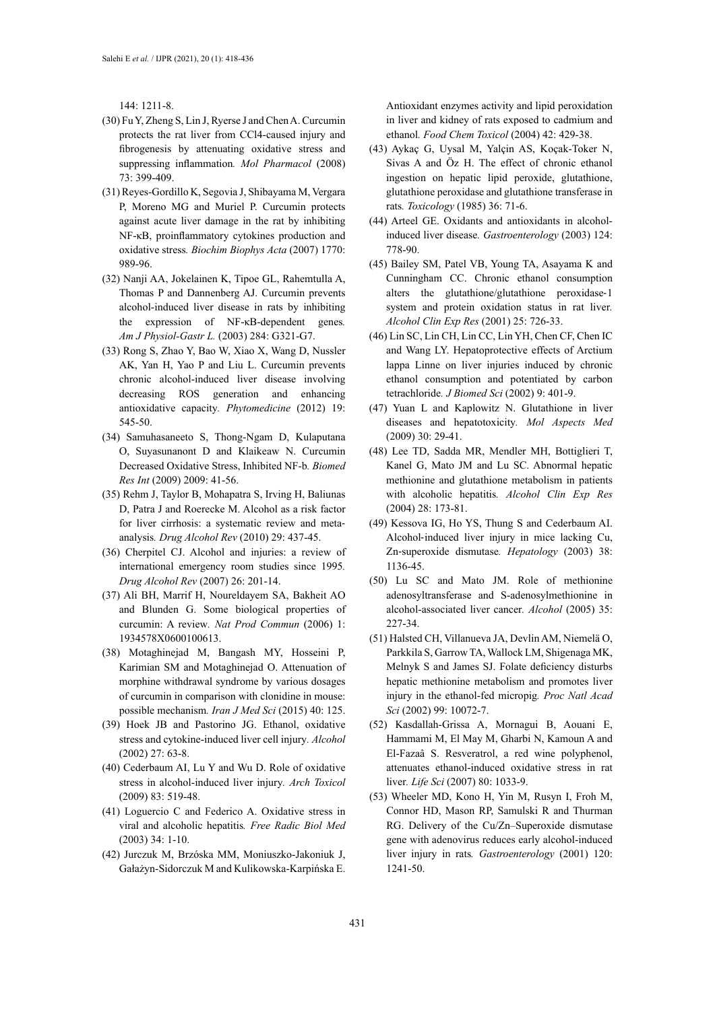144: 1211-8.

- (30) Fu Y, Zheng S, Lin J, Ryerse J and Chen A. Curcumin protects the rat liver from CCl4-caused injury and fibrogenesis by attenuating oxidative stress and suppressing inflammation*. Mol Pharmacol* (2008) 73: 399-409.
- (31) Reyes-Gordillo K, Segovia J, Shibayama M, Vergara P, Moreno MG and Muriel P. Curcumin protects against acute liver damage in the rat by inhibiting NF-κB, proinflammatory cytokines production and oxidative stress*. Biochim Biophys Acta* (2007) 1770: 989-96.
- (32) Nanji AA, Jokelainen K, Tipoe GL, Rahemtulla A, Thomas P and Dannenberg AJ. Curcumin prevents alcohol-induced liver disease in rats by inhibiting the expression of NF-κB-dependent genes*. Am J Physiol-Gastr L.* (2003) 284: G321-G7.
- (33) Rong S, Zhao Y, Bao W, Xiao X, Wang D, Nussler AK, Yan H, Yao P and Liu L. Curcumin prevents chronic alcohol-induced liver disease involving decreasing ROS generation and enhancing antioxidative capacity*. Phytomedicine* (2012) 19: 545-50.
- (34) Samuhasaneeto S, Thong-Ngam D, Kulaputana O, Suyasunanont D and Klaikeaw N. Curcumin Decreased Oxidative Stress, Inhibited NF-b*. Biomed Res Int* (2009) 2009: 41-56.
- (35) Rehm J, Taylor B, Mohapatra S, Irving H, Baliunas D, Patra J and Roerecke M. Alcohol as a risk factor for liver cirrhosis: a systematic review and metaanalysis*. Drug Alcohol Rev* (2010) 29: 437-45.
- (36) Cherpitel CJ. Alcohol and injuries: a review of international emergency room studies since 1995*. Drug Alcohol Rev* (2007) 26: 201-14.
- (37) Ali BH, Marrif H, Noureldayem SA, Bakheit AO and Blunden G. Some biological properties of curcumin: A review*. Nat Prod Commun* (2006) 1: 1934578X0600100613.
- (38) Motaghinejad M, Bangash MY, Hosseini P, Karimian SM and Motaghinejad O. Attenuation of morphine withdrawal syndrome by various dosages of curcumin in comparison with clonidine in mouse: possible mechanism*. Iran J Med Sci* (2015) 40: 125.
- (39) Hoek JB and Pastorino JG. Ethanol, oxidative stress and cytokine-induced liver cell injury*. Alcohol* (2002) 27: 63-8.
- (40) Cederbaum AI, Lu Y and Wu D. Role of oxidative stress in alcohol-induced liver injury*. Arch Toxicol*  (2009) 83: 519-48.
- (41) Loguercio C and Federico A. Oxidative stress in viral and alcoholic hepatitis*. Free Radic Biol Med*  (2003) 34: 1-10.
- (42) Jurczuk M, Brzóska MM, Moniuszko-Jakoniuk J, Gałażyn-Sidorczuk M and Kulikowska-Karpińska E.

Antioxidant enzymes activity and lipid peroxidation in liver and kidney of rats exposed to cadmium and ethanol*. Food Chem Toxicol* (2004) 42: 429-38.

- (43) Aykaç G, Uysal M, Yalçin AS, Koçak-Toker N, Sivas A and Öz H. The effect of chronic ethanol ingestion on hepatic lipid peroxide, glutathione, glutathione peroxidase and glutathione transferase in rats*. Toxicology* (1985) 36: 71-6.
- (44) Arteel GE. Oxidants and antioxidants in alcoholinduced liver disease*. Gastroenterology* (2003) 124: 778-90.
- (45) Bailey SM, Patel VB, Young TA, Asayama K and Cunningham CC. Chronic ethanol consumption alters the glutathione/glutathione peroxidase‐1 system and protein oxidation status in rat liver*. Alcohol Clin Exp Res* (2001) 25: 726-33.
- (46) Lin SC, Lin CH, Lin CC, Lin YH, Chen CF, Chen IC and Wang LY. Hepatoprotective effects of Arctium lappa Linne on liver injuries induced by chronic ethanol consumption and potentiated by carbon tetrachloride*. J Biomed Sci* (2002) 9: 401-9.
- (47) Yuan L and Kaplowitz N. Glutathione in liver diseases and hepatotoxicity*. Mol Aspects Med*  (2009) 30: 29-41.
- (48) Lee TD, Sadda MR, Mendler MH, Bottiglieri T, Kanel G, Mato JM and Lu SC. Abnormal hepatic methionine and glutathione metabolism in patients with alcoholic hepatitis*. Alcohol Clin Exp Res* (2004) 28: 173-81.
- (49) Kessova IG, Ho YS, Thung S and Cederbaum AI. Alcohol‐induced liver injury in mice lacking Cu, Zn‐superoxide dismutase*. Hepatology* (2003) 38: 1136-45.
- (50) Lu SC and Mato JM. Role of methionine adenosyltransferase and S-adenosylmethionine in alcohol-associated liver cancer*. Alcohol* (2005) 35: 227-34.
- (51) Halsted CH, Villanueva JA, Devlin AM, Niemelä O, Parkkila S, Garrow TA, Wallock LM, Shigenaga MK, Melnyk S and James SJ. Folate deficiency disturbs hepatic methionine metabolism and promotes liver injury in the ethanol-fed micropig*. Proc Natl Acad Sci* (2002) 99: 10072-7.
- (52) Kasdallah-Grissa A, Mornagui B, Aouani E, Hammami M, El May M, Gharbi N, Kamoun A and El-Fazaâ S. Resveratrol, a red wine polyphenol, attenuates ethanol-induced oxidative stress in rat liver*. Life Sci* (2007) 80: 1033-9.
- (53) Wheeler MD, Kono H, Yin M, Rusyn I, Froh M, Connor HD, Mason RP, Samulski R and Thurman RG. Delivery of the Cu/Zn–Superoxide dismutase gene with adenovirus reduces early alcohol-induced liver injury in rats*. Gastroenterology* (2001) 120: 1241-50.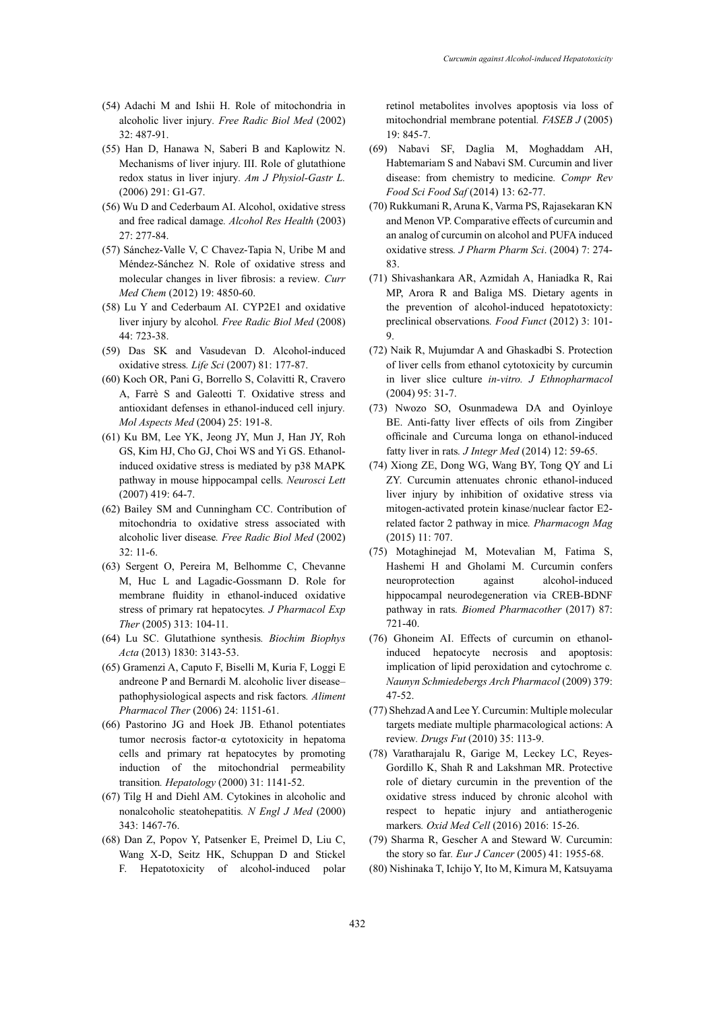- (54) Adachi M and Ishii H. Role of mitochondria in alcoholic liver injury*. Free Radic Biol Med* (2002) 32: 487-91.
- (55) Han D, Hanawa N, Saberi B and Kaplowitz N. Mechanisms of liver injury. III. Role of glutathione redox status in liver injury*. Am J Physiol-Gastr L.*  (2006) 291: G1-G7.
- (56) Wu D and Cederbaum AI. Alcohol, oxidative stress and free radical damage*. Alcohol Res Health* (2003) 27: 277-84.
- (57) Sánchez-Valle V, C Chavez-Tapia N, Uribe M and Méndez-Sánchez N. Role of oxidative stress and molecular changes in liver fibrosis: a review*. Curr Med Chem* (2012) 19: 4850-60.
- (58) Lu Y and Cederbaum AI. CYP2E1 and oxidative liver injury by alcohol*. Free Radic Biol Med* (2008) 44: 723-38.
- (59) Das SK and Vasudevan D. Alcohol-induced oxidative stress*. Life Sci* (2007) 81: 177-87.
- (60) Koch OR, Pani G, Borrello S, Colavitti R, Cravero A, Farrè S and Galeotti T. Oxidative stress and antioxidant defenses in ethanol-induced cell injury*. Mol Aspects Med* (2004) 25: 191-8.
- (61) Ku BM, Lee YK, Jeong JY, Mun J, Han JY, Roh GS, Kim HJ, Cho GJ, Choi WS and Yi GS. Ethanolinduced oxidative stress is mediated by p38 MAPK pathway in mouse hippocampal cells*. Neurosci Lett* (2007) 419: 64-7.
- (62) Bailey SM and Cunningham CC. Contribution of mitochondria to oxidative stress associated with alcoholic liver disease*. Free Radic Biol Med* (2002) 32: 11-6.
- (63) Sergent O, Pereira M, Belhomme C, Chevanne M, Huc L and Lagadic-Gossmann D. Role for membrane fluidity in ethanol-induced oxidative stress of primary rat hepatocytes*. J Pharmacol Exp Ther* (2005) 313: 104-11.
- (64) Lu SC. Glutathione synthesis*. Biochim Biophys Acta* (2013) 1830: 3143-53.
- (65) Gramenzi A, Caputo F, Biselli M, Kuria F, Loggi E andreone P and Bernardi M. alcoholic liver disease– pathophysiological aspects and risk factors*. Aliment Pharmacol Ther* (2006) 24: 1151-61.
- (66) Pastorino JG and Hoek JB. Ethanol potentiates tumor necrosis factor‐α cytotoxicity in hepatoma cells and primary rat hepatocytes by promoting induction of the mitochondrial permeability transition*. Hepatology* (2000) 31: 1141-52.
- (67) Tilg H and Diehl AM. Cytokines in alcoholic and nonalcoholic steatohepatitis*. N Engl J Med* (2000) 343: 1467-76.
- (68) Dan Z, Popov Y, Patsenker E, Preimel D, Liu C, Wang X-D, Seitz HK, Schuppan D and Stickel F. Hepatotoxicity of alcohol-induced polar

retinol metabolites involves apoptosis via loss of mitochondrial membrane potential*. FASEB J* (2005) 19: 845-7.

- (69) Nabavi SF, Daglia M, Moghaddam AH, Habtemariam S and Nabavi SM. Curcumin and liver disease: from chemistry to medicine*. Compr Rev Food Sci Food Saf* (2014) 13: 62-77.
- (70) Rukkumani R, Aruna K, Varma PS, Rajasekaran KN and Menon VP. Comparative effects of curcumin and an analog of curcumin on alcohol and PUFA induced oxidative stress*. J Pharm Pharm Sci*. (2004) 7: 274- 83.
- (71) Shivashankara AR, Azmidah A, Haniadka R, Rai MP, Arora R and Baliga MS. Dietary agents in the prevention of alcohol-induced hepatotoxicty: preclinical observations*. Food Funct* (2012) 3: 101- 9.
- (72) Naik R, Mujumdar A and Ghaskadbi S. Protection of liver cells from ethanol cytotoxicity by curcumin in liver slice culture *in-vitro. J Ethnopharmacol*  (2004) 95: 31-7.
- (73) Nwozo SO, Osunmadewa DA and Oyinloye BE. Anti-fatty liver effects of oils from Zingiber officinale and Curcuma longa on ethanol-induced fatty liver in rats*. J Integr Med* (2014) 12: 59-65.
- (74) Xiong ZE, Dong WG, Wang BY, Tong QY and Li ZY. Curcumin attenuates chronic ethanol-induced liver injury by inhibition of oxidative stress via mitogen-activated protein kinase/nuclear factor E2 related factor 2 pathway in mice*. Pharmacogn Mag* (2015) 11: 707.
- (75) Motaghinejad M, Motevalian M, Fatima S, Hashemi H and Gholami M. Curcumin confers neuroprotection against alcohol-induced hippocampal neurodegeneration via CREB-BDNF pathway in rats*. Biomed Pharmacother* (2017) 87: 721-40.
- (76) Ghoneim AI. Effects of curcumin on ethanolinduced hepatocyte necrosis and apoptosis: implication of lipid peroxidation and cytochrome c*. Naunyn Schmiedebergs Arch Pharmacol* (2009) 379: 47-52.
- (77) Shehzad A and Lee Y. Curcumin: Multiple molecular targets mediate multiple pharmacological actions: A review*. Drugs Fut* (2010) 35: 113-9.
- (78) Varatharajalu R, Garige M, Leckey LC, Reyes-Gordillo K, Shah R and Lakshman MR. Protective role of dietary curcumin in the prevention of the oxidative stress induced by chronic alcohol with respect to hepatic injury and antiatherogenic markers*. Oxid Med Cell* (2016) 2016: 15-26.
- (79) Sharma R, Gescher A and Steward W. Curcumin: the story so far*. Eur J Cancer* (2005) 41: 1955-68.
- (80) Nishinaka T, Ichijo Y, Ito M, Kimura M, Katsuyama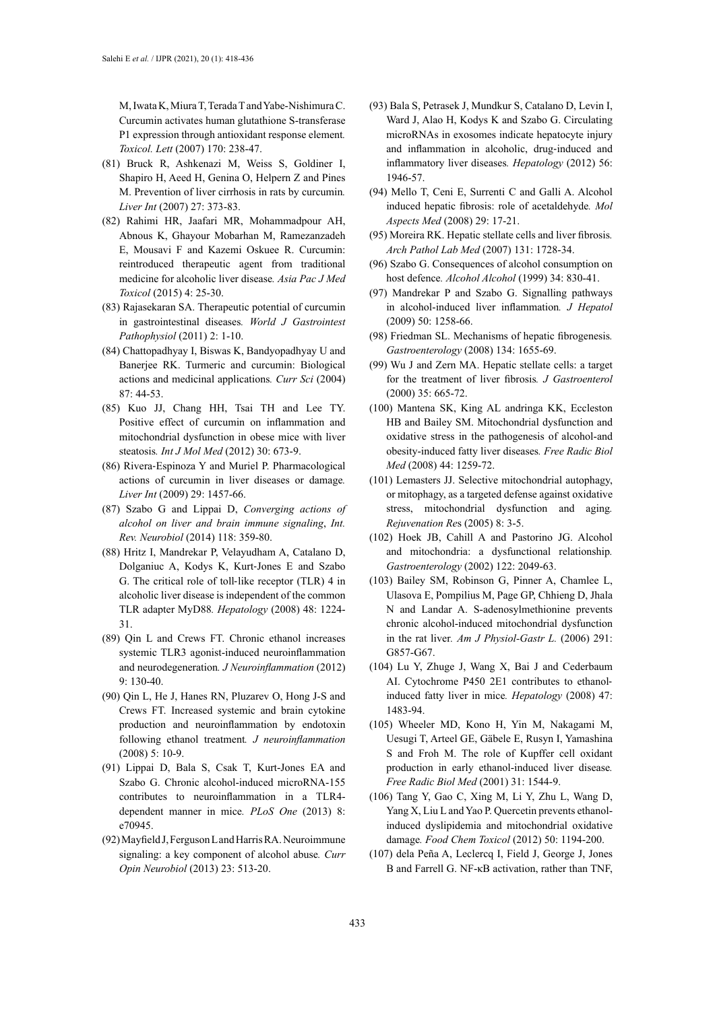M, Iwata K, Miura T, Terada T and Yabe-Nishimura C. Curcumin activates human glutathione S-transferase P1 expression through antioxidant response element*. Toxicol. Lett* (2007) 170: 238-47.

- (81) Bruck R, Ashkenazi M, Weiss S, Goldiner I, Shapiro H, Aeed H, Genina O, Helpern Z and Pines M. Prevention of liver cirrhosis in rats by curcumin*. Liver Int* (2007) 27: 373-83.
- (82) Rahimi HR, Jaafari MR, Mohammadpour AH, Abnous K, Ghayour Mobarhan M, Ramezanzadeh E, Mousavi F and Kazemi Oskuee R. Curcumin: reintroduced therapeutic agent from traditional medicine for alcoholic liver disease*. Asia Pac J Med Toxicol* (2015) 4: 25-30.
- (83) Rajasekaran SA. Therapeutic potential of curcumin in gastrointestinal diseases*. World J Gastrointest Pathophysiol* (2011) 2: 1-10.
- (84) Chattopadhyay I, Biswas K, Bandyopadhyay U and Banerjee RK. Turmeric and curcumin: Biological actions and medicinal applications*. Curr Sci* (2004) 87: 44-53.
- (85) Kuo JJ, Chang HH, Tsai TH and Lee TY. Positive effect of curcumin on inflammation and mitochondrial dysfunction in obese mice with liver steatosis*. Int J Mol Med* (2012) 30: 673-9.
- (86) Rivera‐Espinoza Y and Muriel P. Pharmacological actions of curcumin in liver diseases or damage*. Liver Int* (2009) 29: 1457-66.
- (87) Szabo G and Lippai D, *Converging actions of alcohol on liver and brain immune signaling*, *Int. Rev. Neurobiol* (2014) 118: 359-80.
- (88) Hritz I, Mandrekar P, Velayudham A, Catalano D, Dolganiuc A, Kodys K, Kurt‐Jones E and Szabo G. The critical role of toll‐like receptor (TLR) 4 in alcoholic liver disease is independent of the common TLR adapter MyD88*. Hepatology* (2008) 48: 1224- 31.
- (89) Qin L and Crews FT. Chronic ethanol increases systemic TLR3 agonist-induced neuroinflammation and neurodegeneration*. J Neuroinflammation* (2012) 9: 130-40.
- (90) Qin L, He J, Hanes RN, Pluzarev O, Hong J-S and Crews FT. Increased systemic and brain cytokine production and neuroinflammation by endotoxin following ethanol treatment*. J neuroinflammation* (2008) 5: 10-9.
- (91) Lippai D, Bala S, Csak T, Kurt-Jones EA and Szabo G. Chronic alcohol-induced microRNA-155 contributes to neuroinflammation in a TLR4 dependent manner in mice*. PLoS One* (2013) 8: e70945.
- (92) Mayfield J, Ferguson L and Harris RA. Neuroimmune signaling: a key component of alcohol abuse*. Curr Opin Neurobiol* (2013) 23: 513-20.
- (93) Bala S, Petrasek J, Mundkur S, Catalano D, Levin I, Ward J, Alao H, Kodys K and Szabo G. Circulating microRNAs in exosomes indicate hepatocyte injury and inflammation in alcoholic, drug‐induced and inflammatory liver diseases*. Hepatology* (2012) 56: 1946-57.
- (94) Mello T, Ceni E, Surrenti C and Galli A. Alcohol induced hepatic fibrosis: role of acetaldehyde*. Mol Aspects Med* (2008) 29: 17-21.
- (95) Moreira RK. Hepatic stellate cells and liver fibrosis*. Arch Pathol Lab Med* (2007) 131: 1728-34.
- (96) Szabo G. Consequences of alcohol consumption on host defence*. Alcohol Alcohol* (1999) 34: 830-41.
- (97) Mandrekar P and Szabo G. Signalling pathways in alcohol-induced liver inflammation*. J Hepatol* (2009) 50: 1258-66.
- (98) Friedman SL. Mechanisms of hepatic fibrogenesis*. Gastroenterology* (2008) 134: 1655-69.
- (99) Wu J and Zern MA. Hepatic stellate cells: a target for the treatment of liver fibrosis*. J Gastroenterol*  (2000) 35: 665-72.
- (100) Mantena SK, King AL andringa KK, Eccleston HB and Bailey SM. Mitochondrial dysfunction and oxidative stress in the pathogenesis of alcohol-and obesity-induced fatty liver diseases*. Free Radic Biol Med* (2008) 44: 1259-72.
- (101) Lemasters JJ. Selective mitochondrial autophagy, or mitophagy, as a targeted defense against oxidative stress, mitochondrial dysfunction and aging*. Rejuvenation Re*s (2005) 8: 3-5.
- (102) Hoek JB, Cahill A and Pastorino JG. Alcohol and mitochondria: a dysfunctional relationship*. Gastroenterology* (2002) 122: 2049-63.
- (103) Bailey SM, Robinson G, Pinner A, Chamlee L, Ulasova E, Pompilius M, Page GP, Chhieng D, Jhala N and Landar A. S-adenosylmethionine prevents chronic alcohol-induced mitochondrial dysfunction in the rat liver*. Am J Physiol-Gastr L.* (2006) 291: G857-G67.
- (104) Lu Y, Zhuge J, Wang X, Bai J and Cederbaum AI. Cytochrome P450 2E1 contributes to ethanolinduced fatty liver in mice*. Hepatology* (2008) 47: 1483-94.
- (105) Wheeler MD, Kono H, Yin M, Nakagami M, Uesugi T, Arteel GE, Gäbele E, Rusyn I, Yamashina S and Froh M. The role of Kupffer cell oxidant production in early ethanol-induced liver disease*. Free Radic Biol Med* (2001) 31: 1544-9.
- (106) Tang Y, Gao C, Xing M, Li Y, Zhu L, Wang D, Yang X, Liu L and Yao P. Quercetin prevents ethanolinduced dyslipidemia and mitochondrial oxidative damage*. Food Chem Toxicol* (2012) 50: 1194-200.
- (107) dela Peña A, Leclercq I, Field J, George J, Jones B and Farrell G. NF-κB activation, rather than TNF,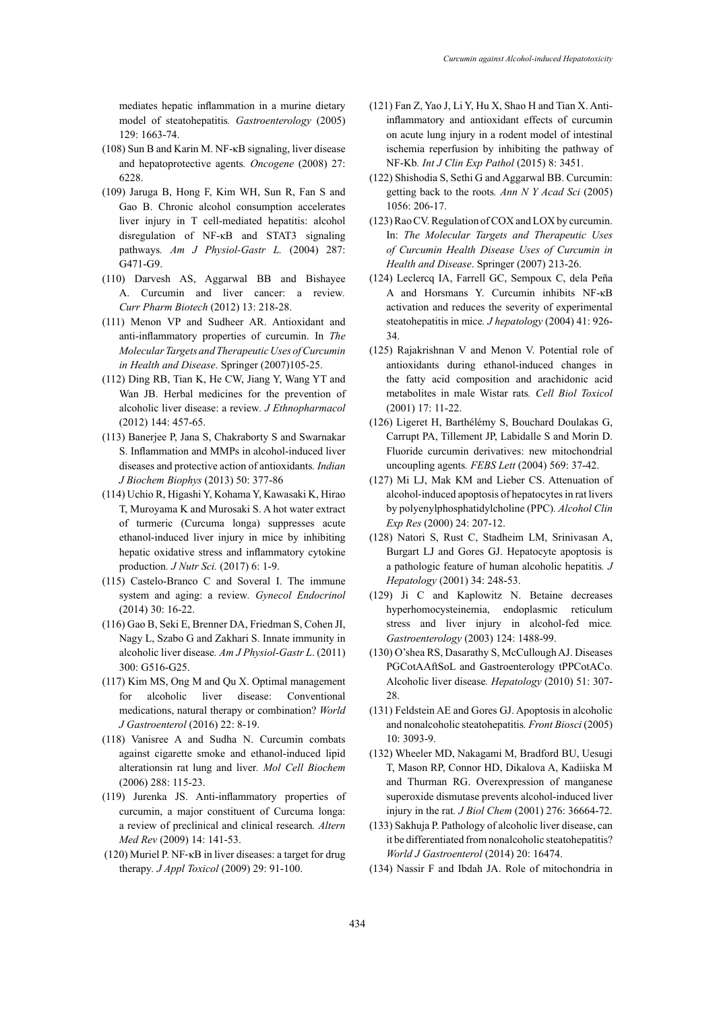mediates hepatic inflammation in a murine dietary model of steatohepatitis*. Gastroenterology* (2005) 129: 1663-74.

- (108) Sun B and Karin M. NF-κB signaling, liver disease and hepatoprotective agents*. Oncogene* (2008) 27: 6228.
- (109) Jaruga B, Hong F, Kim WH, Sun R, Fan S and Gao B. Chronic alcohol consumption accelerates liver injury in T cell-mediated hepatitis: alcohol disregulation of NF-κB and STAT3 signaling pathways*. Am J Physiol-Gastr L.* (2004) 287: G471-G9.
- (110) Darvesh AS, Aggarwal BB and Bishayee A. Curcumin and liver cancer: a review*. Curr Pharm Biotech* (2012) 13: 218-28.
- (111) Menon VP and Sudheer AR. Antioxidant and anti-inflammatory properties of curcumin. In *The Molecular Targets and Therapeutic Uses of Curcumin in Health and Disease*. Springer (2007)105-25.
- (112) Ding RB, Tian K, He CW, Jiang Y, Wang YT and Wan JB. Herbal medicines for the prevention of alcoholic liver disease: a review*. J Ethnopharmacol*  (2012) 144: 457-65.
- (113) Banerjee P, Jana S, Chakraborty S and Swarnakar S. Inflammation and MMPs in alcohol-induced liver diseases and protective action of antioxidants*. Indian J Biochem Biophys* (2013) 50: 377-86
- (114) Uchio R, Higashi Y, Kohama Y, Kawasaki K, Hirao T, Muroyama K and Murosaki S. A hot water extract of turmeric (Curcuma longa) suppresses acute ethanol-induced liver injury in mice by inhibiting hepatic oxidative stress and inflammatory cytokine production*. J Nutr Sci.* (2017) 6: 1-9.
- (115) Castelo-Branco C and Soveral I. The immune system and aging: a review*. Gynecol Endocrinol*  (2014) 30: 16-22.
- (116) Gao B, Seki E, Brenner DA, Friedman S, Cohen JI, Nagy L, Szabo G and Zakhari S. Innate immunity in alcoholic liver disease*. Am J Physiol-Gastr L*. (2011) 300: G516-G25.
- (117) Kim MS, Ong M and Qu X. Optimal management for alcoholic liver disease: Conventional medications, natural therapy or combination? *World J Gastroenterol* (2016) 22: 8-19.
- (118) Vanisree A and Sudha N. Curcumin combats against cigarette smoke and ethanol-induced lipid alterationsin rat lung and liver*. Mol Cell Biochem* (2006) 288: 115-23.
- (119) Jurenka JS. Anti-inflammatory properties of curcumin, a major constituent of Curcuma longa: a review of preclinical and clinical research*. Altern Med Rev* (2009) 14: 141-53.
- (120) Muriel P. NF‐κB in liver diseases: a target for drug therapy*. J Appl Toxicol* (2009) 29: 91-100.
- (121) Fan Z, Yao J, Li Y, Hu X, Shao H and Tian X. Antiinflammatory and antioxidant effects of curcumin on acute lung injury in a rodent model of intestinal ischemia reperfusion by inhibiting the pathway of NF-Kb*. Int J Clin Exp Pathol* (2015) 8: 3451.
- (122) Shishodia S, Sethi G and Aggarwal BB. Curcumin: getting back to the roots*. Ann N Y Acad Sci* (2005) 1056: 206-17.
- (123) Rao CV. Regulation of COX and LOX by curcumin. In: *The Molecular Targets and Therapeutic Uses of Curcumin Health Disease Uses of Curcumin in Health and Disease*. Springer (2007) 213-26.
- (124) Leclercq IA, Farrell GC, Sempoux C, dela Peña A and Horsmans Y. Curcumin inhibits NF-κB activation and reduces the severity of experimental steatohepatitis in mice*. J hepatology* (2004) 41: 926- 34.
- (125) Rajakrishnan V and Menon V. Potential role of antioxidants during ethanol-induced changes in the fatty acid composition and arachidonic acid metabolites in male Wistar rats*. Cell Biol Toxicol*  (2001) 17: 11-22.
- (126) Ligeret H, Barthélémy S, Bouchard Doulakas G, Carrupt PA, Tillement JP, Labidalle S and Morin D. Fluoride curcumin derivatives: new mitochondrial uncoupling agents*. FEBS Lett* (2004) 569: 37-42.
- (127) Mi LJ, Mak KM and Lieber CS. Attenuation of alcohol‐induced apoptosis of hepatocytes in rat livers by polyenylphosphatidylcholine (PPC)*. Alcohol Clin Exp Res* (2000) 24: 207-12.
- (128) Natori S, Rust C, Stadheim LM, Srinivasan A, Burgart LJ and Gores GJ. Hepatocyte apoptosis is a pathologic feature of human alcoholic hepatitis*. J Hepatology* (2001) 34: 248-53.
- (129) Ji C and Kaplowitz N. Betaine decreases hyperhomocysteinemia, endoplasmic reticulum stress and liver injury in alcohol-fed mice*. Gastroenterology* (2003) 124: 1488-99.
- (130) O'shea RS, Dasarathy S, McCullough AJ. Diseases PGCotAAftSoL and Gastroenterology tPPCotACo. Alcoholic liver disease*. Hepatology* (2010) 51: 307- 28.
- (131) Feldstein AE and Gores GJ. Apoptosis in alcoholic and nonalcoholic steatohepatitis*. Front Biosci* (2005) 10: 3093-9.
- (132) Wheeler MD, Nakagami M, Bradford BU, Uesugi T, Mason RP, Connor HD, Dikalova A, Kadiiska M and Thurman RG. Overexpression of manganese superoxide dismutase prevents alcohol-induced liver injury in the rat*. J Biol Chem* (2001) 276: 36664-72.
- (133) Sakhuja P. Pathology of alcoholic liver disease, can it be differentiated from nonalcoholic steatohepatitis? *World J Gastroenterol* (2014) 20: 16474.
- (134) Nassir F and Ibdah JA. Role of mitochondria in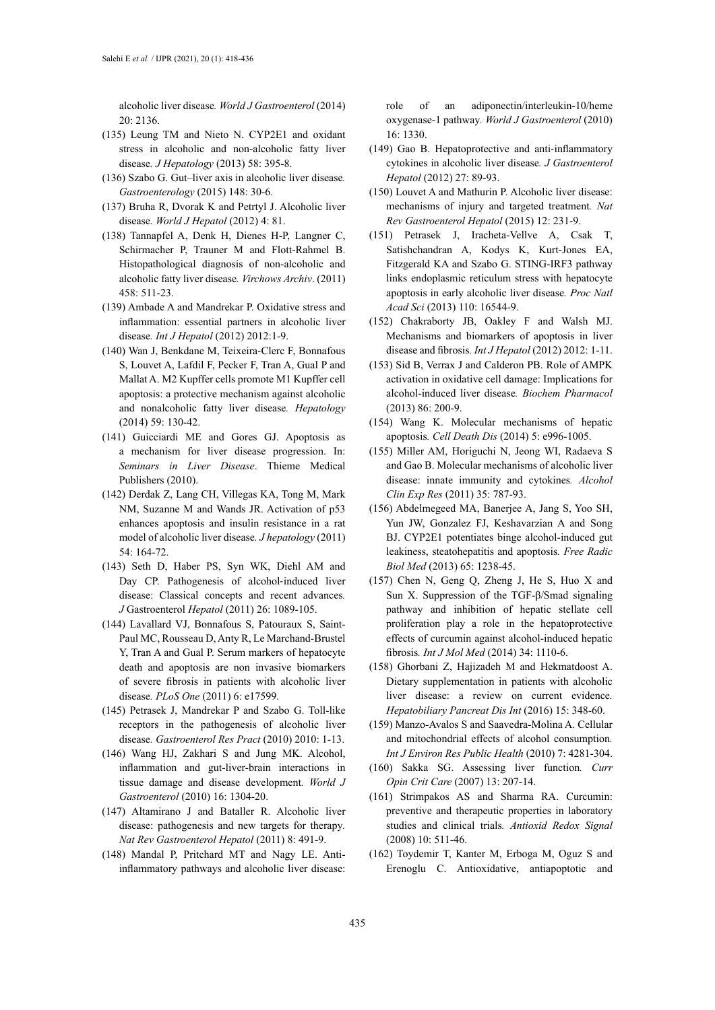alcoholic liver disease*. World J Gastroenterol* (2014) 20: 2136.

- (135) Leung TM and Nieto N. CYP2E1 and oxidant stress in alcoholic and non-alcoholic fatty liver disease*. J Hepatology* (2013) 58: 395-8.
- (136) Szabo G. Gut–liver axis in alcoholic liver disease*. Gastroenterology* (2015) 148: 30-6.
- (137) Bruha R, Dvorak K and Petrtyl J. Alcoholic liver disease*. World J Hepatol* (2012) 4: 81.
- (138) Tannapfel A, Denk H, Dienes H-P, Langner C, Schirmacher P, Trauner M and Flott-Rahmel B. Histopathological diagnosis of non-alcoholic and alcoholic fatty liver disease*. Virchows Archiv*. (2011) 458: 511-23.
- (139) Ambade A and Mandrekar P. Oxidative stress and inflammation: essential partners in alcoholic liver disease*. Int J Hepatol* (2012) 2012:1-9.
- (140) Wan J, Benkdane M, Teixeira‐Clerc F, Bonnafous S, Louvet A, Lafdil F, Pecker F, Tran A, Gual P and Mallat A. M2 Kupffer cells promote M1 Kupffer cell apoptosis: a protective mechanism against alcoholic and nonalcoholic fatty liver disease*. Hepatology* (2014) 59: 130-42.
- (141) Guicciardi ME and Gores GJ. Apoptosis as a mechanism for liver disease progression. In: *Seminars in Liver Disease*. Thieme Medical Publishers (2010).
- (142) Derdak Z, Lang CH, Villegas KA, Tong M, Mark NM, Suzanne M and Wands JR. Activation of p53 enhances apoptosis and insulin resistance in a rat model of alcoholic liver disease*. J hepatology* (2011) 54: 164-72.
- (143) Seth D, Haber PS, Syn WK, Diehl AM and Day CP. Pathogenesis of alcohol-induced liver disease: Classical concepts and recent advances*. J* Gastroenterol *Hepatol* (2011) 26: 1089-105.
- (144) Lavallard VJ, Bonnafous S, Patouraux S, Saint-Paul MC, Rousseau D, Anty R, Le Marchand-Brustel Y, Tran A and Gual P. Serum markers of hepatocyte death and apoptosis are non invasive biomarkers of severe fibrosis in patients with alcoholic liver disease*. PLoS One* (2011) 6: e17599.
- (145) Petrasek J, Mandrekar P and Szabo G. Toll-like receptors in the pathogenesis of alcoholic liver disease*. Gastroenterol Res Pract* (2010) 2010: 1-13.
- (146) Wang HJ, Zakhari S and Jung MK. Alcohol, inflammation and gut-liver-brain interactions in tissue damage and disease development*. World J Gastroenterol* (2010) 16: 1304-20.
- (147) Altamirano J and Bataller R. Alcoholic liver disease: pathogenesis and new targets for therapy*. Nat Rev Gastroenterol Hepatol* (2011) 8: 491-9.
- (148) Mandal P, Pritchard MT and Nagy LE. Antiinflammatory pathways and alcoholic liver disease:

role of an adiponectin/interleukin-10/heme oxygenase-1 pathway*. World J Gastroenterol* (2010) 16: 1330.

- (149) Gao B. Hepatoprotective and anti‐inflammatory cytokines in alcoholic liver disease*. J Gastroenterol Hepatol* (2012) 27: 89-93.
- (150) Louvet A and Mathurin P. Alcoholic liver disease: mechanisms of injury and targeted treatment*. Nat Rev Gastroenterol Hepatol* (2015) 12: 231-9.
- (151) Petrasek J, Iracheta-Vellve A, Csak T, Satishchandran A, Kodys K, Kurt-Jones EA, Fitzgerald KA and Szabo G. STING-IRF3 pathway links endoplasmic reticulum stress with hepatocyte apoptosis in early alcoholic liver disease*. Proc Natl Acad Sci* (2013) 110: 16544-9.
- (152) Chakraborty JB, Oakley F and Walsh MJ. Mechanisms and biomarkers of apoptosis in liver disease and fibrosis*. Int J Hepatol* (2012) 2012: 1-11.
- (153) Sid B, Verrax J and Calderon PB. Role of AMPK activation in oxidative cell damage: Implications for alcohol-induced liver disease*. Biochem Pharmacol* (2013) 86: 200-9.
- (154) Wang K. Molecular mechanisms of hepatic apoptosis*. Cell Death Dis* (2014) 5: e996-1005.
- (155) Miller AM, Horiguchi N, Jeong WI, Radaeva S and Gao B. Molecular mechanisms of alcoholic liver disease: innate immunity and cytokines*. Alcohol Clin Exp Res* (2011) 35: 787-93.
- (156) Abdelmegeed MA, Banerjee A, Jang S, Yoo SH, Yun JW, Gonzalez FJ, Keshavarzian A and Song BJ. CYP2E1 potentiates binge alcohol-induced gut leakiness, steatohepatitis and apoptosis*. Free Radic Biol Med* (2013) 65: 1238-45.
- (157) Chen N, Geng Q, Zheng J, He S, Huo X and Sun X. Suppression of the TGF-β/Smad signaling pathway and inhibition of hepatic stellate cell proliferation play a role in the hepatoprotective effects of curcumin against alcohol-induced hepatic fibrosis*. Int J Mol Med* (2014) 34: 1110-6.
- (158) Ghorbani Z, Hajizadeh M and Hekmatdoost A. Dietary supplementation in patients with alcoholic liver disease: a review on current evidence*. Hepatobiliary Pancreat Dis Int* (2016) 15: 348-60.
- (159) Manzo-Avalos S and Saavedra-Molina A. Cellular and mitochondrial effects of alcohol consumption*. Int J Environ Res Public Health* (2010) 7: 4281-304.
- (160) Sakka SG. Assessing liver function*. Curr Opin Crit Care* (2007) 13: 207-14.
- (161) Strimpakos AS and Sharma RA. Curcumin: preventive and therapeutic properties in laboratory studies and clinical trials*. Antioxid Redox Signal* (2008) 10: 511-46.
- (162) Toydemir T, Kanter M, Erboga M, Oguz S and Erenoglu C. Antioxidative, antiapoptotic and